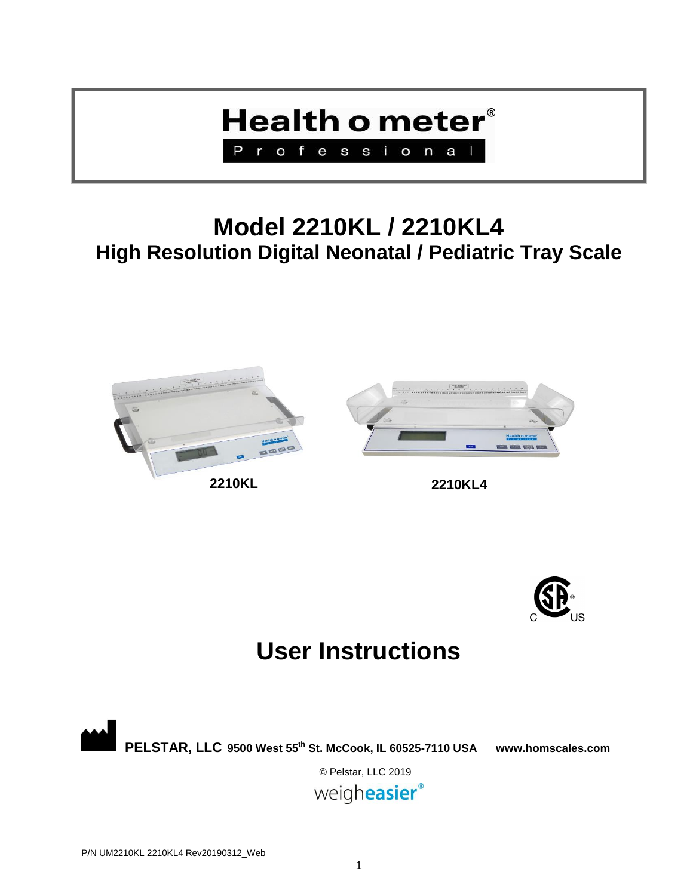

## **Model 2210KL / 2210KL4 High Resolution Digital Neonatal / Pediatric Tray Scale**





## **User Instructions**

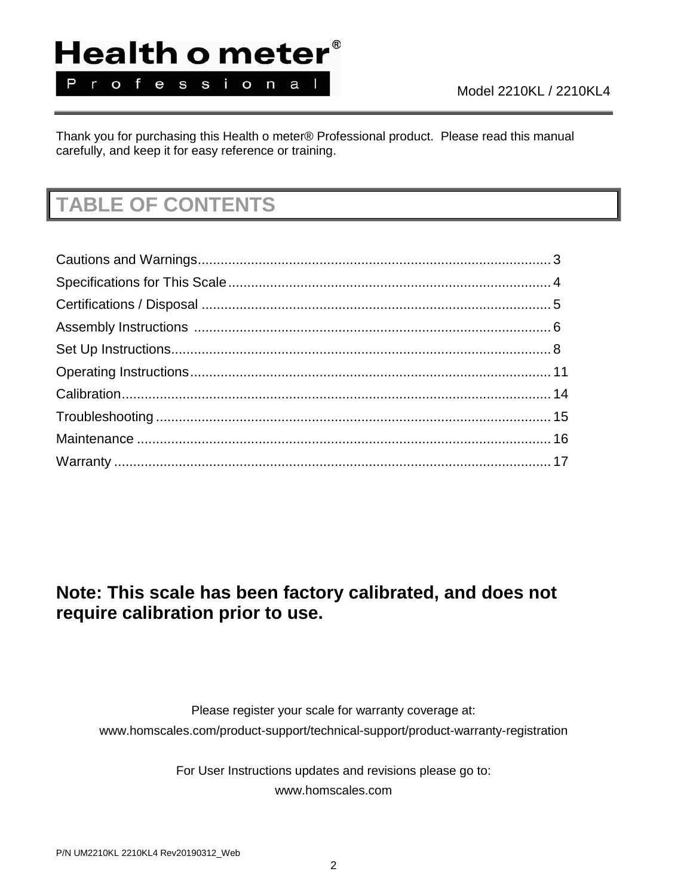# Health o meter®

Professional

Thank you for purchasing this Health o meter® Professional product. Please read this manual carefully, and keep it for easy reference or training.

## **TABLE OF CONTENTS**

### **Note: This scale has been factory calibrated, and does not require calibration prior to use.**

Please register your scale for warranty coverage at: www.homscales.com/product-support/technical-support/product-warranty-registration

> For User Instructions updates and revisions please go to: www.homscales.com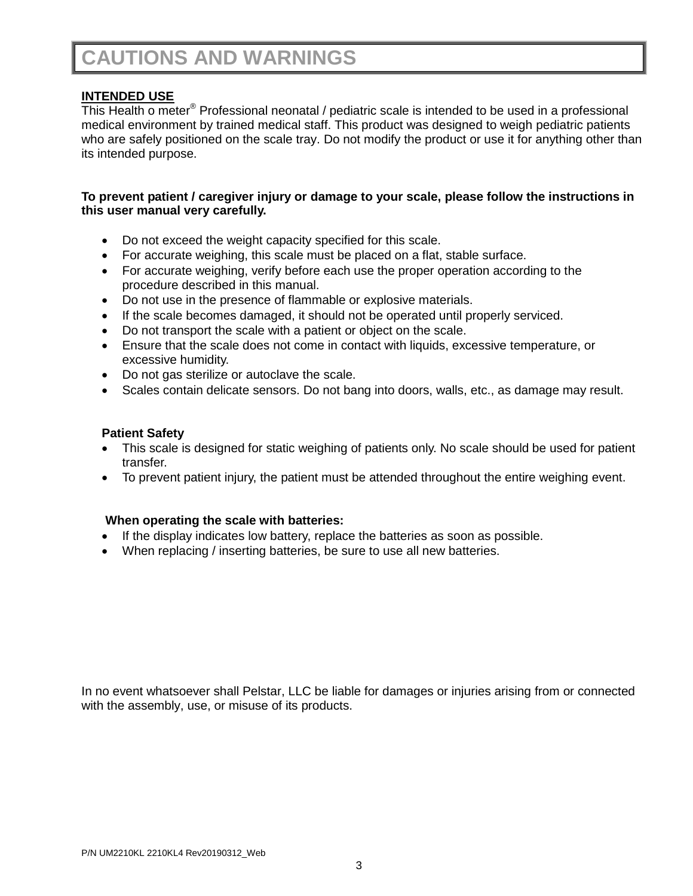## **CAUTIONS AND WARNINGS**

### **INTENDED USE**

This Health o meter® Professional neonatal / pediatric scale is intended to be used in a professional medical environment by trained medical staff. This product was designed to weigh pediatric patients who are safely positioned on the scale tray. Do not modify the product or use it for anything other than its intended purpose.

### **To prevent patient / caregiver injury or damage to your scale, please follow the instructions in this user manual very carefully.**

- Do not exceed the weight capacity specified for this scale.
- For accurate weighing, this scale must be placed on a flat, stable surface.
- For accurate weighing, verify before each use the proper operation according to the procedure described in this manual.
- Do not use in the presence of flammable or explosive materials.
- If the scale becomes damaged, it should not be operated until properly serviced.
- Do not transport the scale with a patient or object on the scale.
- Ensure that the scale does not come in contact with liquids, excessive temperature, or excessive humidity.
- Do not gas sterilize or autoclave the scale.
- Scales contain delicate sensors. Do not bang into doors, walls, etc., as damage may result.

### **Patient Safety**

- This scale is designed for static weighing of patients only. No scale should be used for patient transfer.
- To prevent patient injury, the patient must be attended throughout the entire weighing event.

### **When operating the scale with batteries:**

- If the display indicates low battery, replace the batteries as soon as possible.
- When replacing / inserting batteries, be sure to use all new batteries.

In no event whatsoever shall Pelstar, LLC be liable for damages or injuries arising from or connected with the assembly, use, or misuse of its products.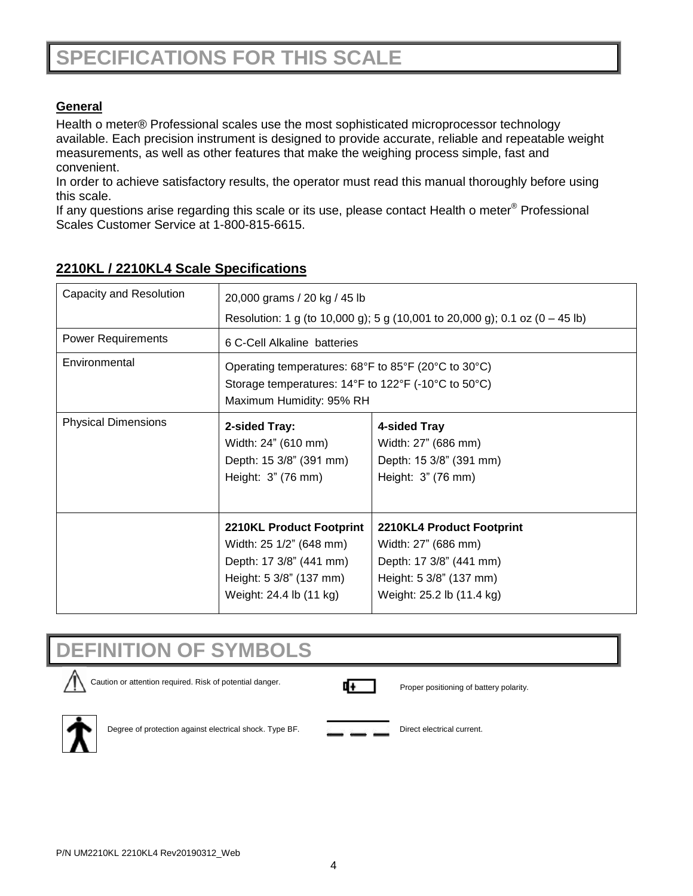### **General**

Health o meter® Professional scales use the most sophisticated microprocessor technology available. Each precision instrument is designed to provide accurate, reliable and repeatable weight measurements, as well as other features that make the weighing process simple, fast and convenient.

In order to achieve satisfactory results, the operator must read this manual thoroughly before using this scale.

If any questions arise regarding this scale or its use, please contact Health o meter® Professional Scales Customer Service at 1-800-815-6615.

| Capacity and Resolution    | 20,000 grams / 20 kg / 45 lb                                                                                                                |                                                                                                                                     |  |
|----------------------------|---------------------------------------------------------------------------------------------------------------------------------------------|-------------------------------------------------------------------------------------------------------------------------------------|--|
|                            | Resolution: 1 g (to 10,000 g); 5 g (10,001 to 20,000 g); 0.1 oz (0 – 45 lb)                                                                 |                                                                                                                                     |  |
| <b>Power Requirements</b>  | 6 C-Cell Alkaline batteries                                                                                                                 |                                                                                                                                     |  |
| Environmental              | Operating temperatures: 68°F to 85°F (20°C to 30°C)<br>Storage temperatures: 14°F to 122°F (-10°C to 50°C)<br>Maximum Humidity: 95% RH      |                                                                                                                                     |  |
| <b>Physical Dimensions</b> | 2-sided Tray:<br>Width: 24" (610 mm)<br>Depth: 15 3/8" (391 mm)<br>Height: 3" (76 mm)                                                       | 4-sided Tray<br>Width: 27" (686 mm)<br>Depth: 15 3/8" (391 mm)<br>Height: 3" (76 mm)                                                |  |
|                            | <b>2210KL Product Footprint</b><br>Width: 25 1/2" (648 mm)<br>Depth: 17 3/8" (441 mm)<br>Height: 5 3/8" (137 mm)<br>Weight: 24.4 lb (11 kg) | 2210KL4 Product Footprint<br>Width: 27" (686 mm)<br>Depth: 17 3/8" (441 mm)<br>Height: 5 3/8" (137 mm)<br>Weight: 25.2 lb (11.4 kg) |  |

### **2210KL / 2210KL4 Scale Specifications**

## **DEFINITION OF SYMBOLS**







Degree of protection against electrical shock. Type BF. Direct electrical current.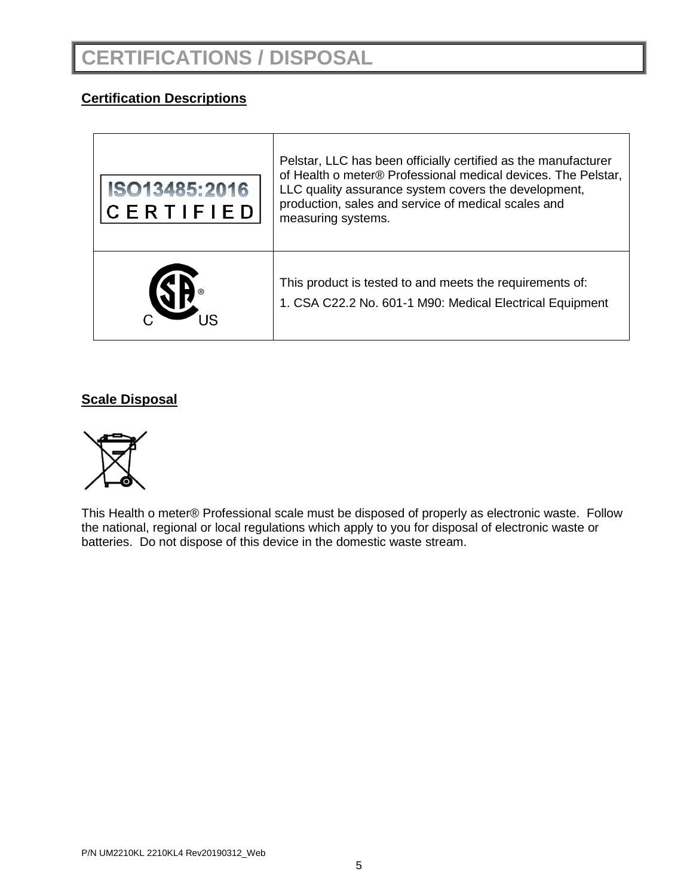### **Certification Descriptions**

| ISO13485:2016<br><b>CERTIFIED</b> | Pelstar, LLC has been officially certified as the manufacturer<br>of Health o meter® Professional medical devices. The Pelstar,<br>LLC quality assurance system covers the development,<br>production, sales and service of medical scales and<br>measuring systems. |
|-----------------------------------|----------------------------------------------------------------------------------------------------------------------------------------------------------------------------------------------------------------------------------------------------------------------|
|                                   | This product is tested to and meets the requirements of:<br>1. CSA C22.2 No. 601-1 M90: Medical Electrical Equipment                                                                                                                                                 |

### **Scale Disposal**



This Health o meter® Professional scale must be disposed of properly as electronic waste. Follow the national, regional or local regulations which apply to you for disposal of electronic waste or batteries. Do not dispose of this device in the domestic waste stream.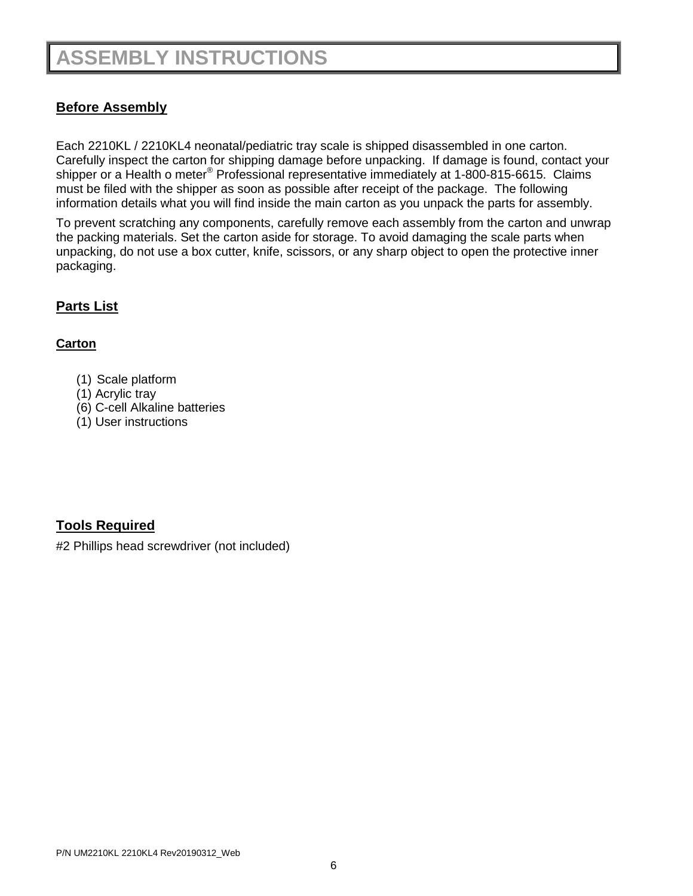## **ASSEMBLY INSTRUCTIONS**

### **Before Assembly**

Each 2210KL / 2210KL4 neonatal/pediatric tray scale is shipped disassembled in one carton. Carefully inspect the carton for shipping damage before unpacking. If damage is found, contact your shipper or a Health o meter<sup>®</sup> Professional representative immediately at 1-800-815-6615. Claims must be filed with the shipper as soon as possible after receipt of the package. The following information details what you will find inside the main carton as you unpack the parts for assembly.

To prevent scratching any components, carefully remove each assembly from the carton and unwrap the packing materials. Set the carton aside for storage. To avoid damaging the scale parts when unpacking, do not use a box cutter, knife, scissors, or any sharp object to open the protective inner packaging.

### **Parts List**

### **Carton**

- (1) Scale platform
- (1) Acrylic tray
- (6) C-cell Alkaline batteries
- (1) User instructions

### **Tools Required**

#2 Phillips head screwdriver (not included)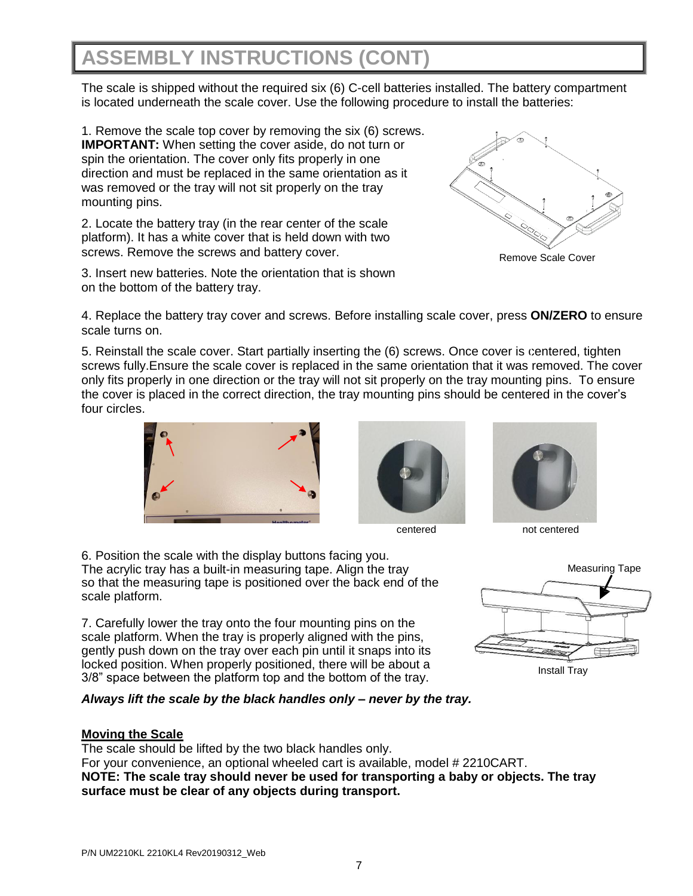## **ASSEMBLY INSTRUCTIONS (CONT)**

The scale is shipped without the required six (6) C-cell batteries installed. The battery compartment is located underneath the scale cover. Use the following procedure to install the batteries:

1. Remove the scale top cover by removing the six (6) screws. **IMPORTANT:** When setting the cover aside, do not turn or spin the orientation. The cover only fits properly in one direction and must be replaced in the same orientation as it was removed or the tray will not sit properly on the tray mounting pins.

2. Locate the battery tray (in the rear center of the scale platform). It has a white cover that is held down with two screws. Remove the screws and battery cover.

3. Insert new batteries. Note the orientation that is shown on the bottom of the battery tray.



Remove Scale Cover

4. Replace the battery tray cover and screws. Before installing scale cover, press **ON/ZERO** to ensure scale turns on.

5. Reinstall the scale cover. Start partially inserting the (6) screws. Once cover is centered, tighten screws fully.Ensure the scale cover is replaced in the same orientation that it was removed. The cover only fits properly in one direction or the tray will not sit properly on the tray mounting pins. To ensure the cover is placed in the correct direction, the tray mounting pins should be centered in the cover's four circles.







centered not centered

6. Position the scale with the display buttons facing you. The acrylic tray has a built-in measuring tape. Align the tray so that the measuring tape is positioned over the back end of the scale platform.

7. Carefully lower the tray onto the four mounting pins on the scale platform. When the tray is properly aligned with the pins, gently push down on the tray over each pin until it snaps into its locked position. When properly positioned, there will be about a 3/8" space between the platform top and the bottom of the tray.

### *Always lift the scale by the black handles only – never by the tray.*

### **Moving the Scale**

The scale should be lifted by the two black handles only. For your convenience, an optional wheeled cart is available, model # 2210CART. **NOTE: The scale tray should never be used for transporting a baby or objects. The tray surface must be clear of any objects during transport.**

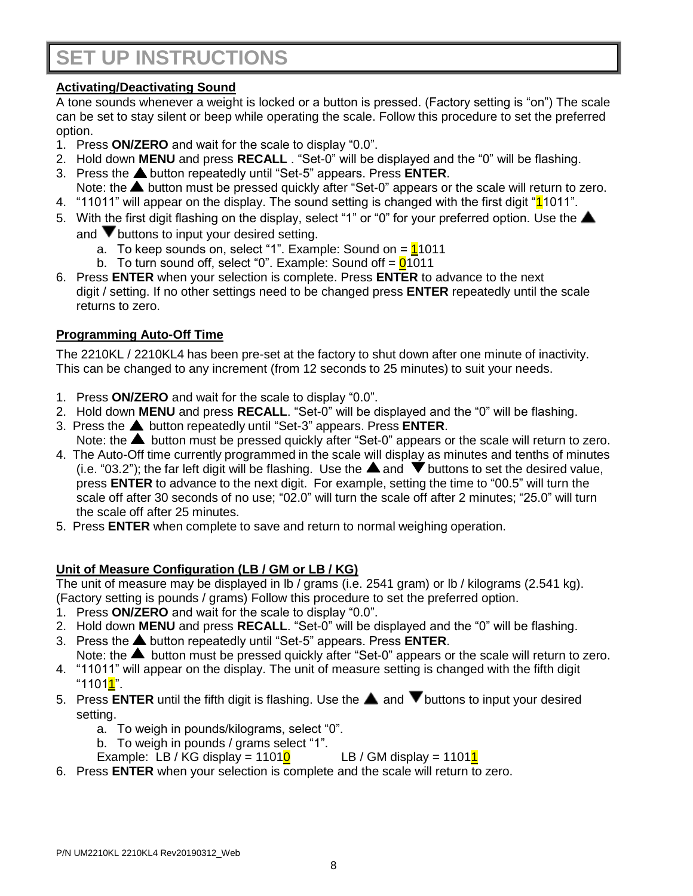## **SET UP INSTRUCTIONS**

### **Activating/Deactivating Sound**

A tone sounds whenever a weight is locked or a button is pressed. (Factory setting is "on") The scale can be set to stay silent or beep while operating the scale. Follow this procedure to set the preferred option.

- 1. Press **ON/ZERO** and wait for the scale to display "0.0".
- 2. Hold down **MENU** and press **RECALL** . "Set-0" will be displayed and the "0" will be flashing.
- 3. Press the button repeatedly until "Set-5" appears. Press **ENTER**.
	- Note: the  $\triangle$  button must be pressed quickly after "Set-0" appears or the scale will return to zero.
- 4. "11011" will appear on the display. The sound setting is changed with the first digit "11011".
- 5. With the first digit flashing on the display, select "1" or "0" for your preferred option. Use the  $\blacktriangle$ and  $\blacktriangledown$  buttons to input your desired setting.
	- a. To keep sounds on, select "1". Example: Sound on  $=\frac{1}{1011}$
	- b. To turn sound off, select "0". Example: Sound off  $= 01011$
- 6. Press **ENTER** when your selection is complete. Press **ENTER** to advance to the next digit / setting. If no other settings need to be changed press **ENTER** repeatedly until the scale returns to zero.

### **Programming Auto-Off Time**

The 2210KL / 2210KL4 has been pre-set at the factory to shut down after one minute of inactivity. This can be changed to any increment (from 12 seconds to 25 minutes) to suit your needs.

- 1. Press **ON/ZERO** and wait for the scale to display "0.0".
- 2. Hold down **MENU** and press **RECALL**. "Set-0" will be displayed and the "0" will be flashing.
- 3. Press the button repeatedly until "Set-3" appears. Press **ENTER**. Note: the  $\blacktriangle$  button must be pressed quickly after "Set-0" appears or the scale will return to zero.
- 4. The Auto-Off time currently programmed in the scale will display as minutes and tenths of minutes (i.e. "03.2"); the far left digit will be flashing. Use the  $\triangle$  and  $\blacktriangledown$  buttons to set the desired value, press **ENTER** to advance to the next digit. For example, setting the time to "00.5" will turn the scale off after 30 seconds of no use; "02.0" will turn the scale off after 2 minutes; "25.0" will turn the scale off after 25 minutes.
- 5. Press **ENTER** when complete to save and return to normal weighing operation.

### **Unit of Measure Configuration (LB / GM or LB / KG)**

The unit of measure may be displayed in lb / grams (i.e. 2541 gram) or lb / kilograms (2.541 kg). (Factory setting is pounds / grams) Follow this procedure to set the preferred option.

- 1. Press **ON/ZERO** and wait for the scale to display "0.0".
- 2. Hold down **MENU** and press **RECALL**. "Set-0" will be displayed and the "0" will be flashing.
- 3. Press the **A** button repeatedly until "Set-5" appears. Press **ENTER**.

Note: the  $\blacktriangle$  button must be pressed quickly after "Set-0" appears or the scale will return to zero.

- 4. "11011" will appear on the display. The unit of measure setting is changed with the fifth digit "11011".
- 5. Press **ENTER** until the fifth digit is flashing. Use the  $\triangle$  and  $\nabla$  buttons to input your desired setting.
	- a. To weigh in pounds/kilograms, select "0".
	- b. To weigh in pounds / grams select "1".
	- Example: LB / KG display =  $11010$  LB / GM display =  $11011$
- 6. Press **ENTER** when your selection is complete and the scale will return to zero.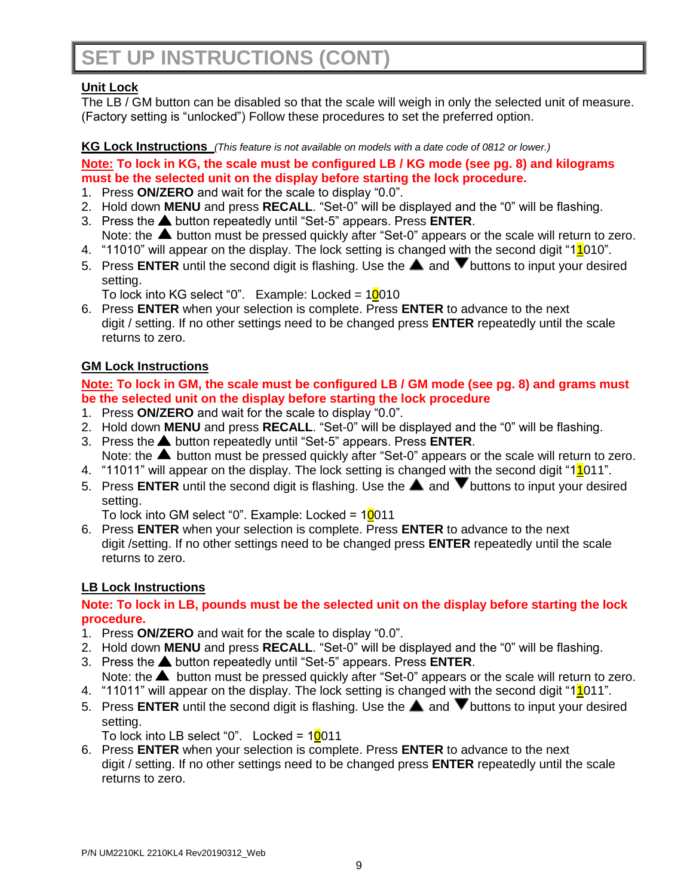## **SET UP INSTRUCTIONS (CONT)**

### **Unit Lock**

The LB / GM button can be disabled so that the scale will weigh in only the selected unit of measure. (Factory setting is "unlocked") Follow these procedures to set the preferred option.

### **KG Lock Instructions** *(This feature is not available on models with a date code of 0812 or lower.)*

### **Note: To lock in KG, the scale must be configured LB / KG mode (see pg. 8) and kilograms must be the selected unit on the display before starting the lock procedure.**

- 1. Press **ON/ZERO** and wait for the scale to display "0.0".
- 2. Hold down **MENU** and press **RECALL**. "Set-0" will be displayed and the "0" will be flashing.
- 3. Press the **A** button repeatedly until "Set-5" appears. Press **ENTER**. Note: the  $\blacktriangle$  button must be pressed quickly after "Set-0" appears or the scale will return to zero.
- 4. "11010" will appear on the display. The lock setting is changed with the second digit "1<sup>1</sup>010".
- 5. Press **ENTER** until the second digit is flashing. Use the **A** and **V** buttons to input your desired setting.
	- To lock into KG select "0". Example: Locked =  $10010$
- 6. Press **ENTER** when your selection is complete. Press **ENTER** to advance to the next digit / setting. If no other settings need to be changed press **ENTER** repeatedly until the scale returns to zero.

### **GM Lock Instructions**

### **Note: To lock in GM, the scale must be configured LB / GM mode (see pg. 8) and grams must be the selected unit on the display before starting the lock procedure**

- 1. Press **ON/ZERO** and wait for the scale to display "0.0".
- 2. Hold down **MENU** and press **RECALL**. "Set-0" will be displayed and the "0" will be flashing.
- 3. Press the **▲** button repeatedly until "Set-5" appears. Press **ENTER**. Note: the  $\blacktriangle$  button must be pressed quickly after "Set-0" appears or the scale will return to zero.
- 4. "11011" will appear on the display. The lock setting is changed with the second digit "11011".
- 5. Press **ENTER** until the second digit is flashing. Use the **A** and **V** buttons to input your desired setting.

To lock into GM select "0". Example: Locked = 10011

6. Press **ENTER** when your selection is complete. Press **ENTER** to advance to the next digit /setting. If no other settings need to be changed press **ENTER** repeatedly until the scale returns to zero.

### **LB Lock Instructions**

### **Note: To lock in LB, pounds must be the selected unit on the display before starting the lock procedure.**

- 1. Press **ON/ZERO** and wait for the scale to display "0.0".
- 2. Hold down **MENU** and press **RECALL**. "Set-0" will be displayed and the "0" will be flashing.
- 3. Press the **A** button repeatedly until "Set-5" appears. Press **ENTER**.
- Note: the **A** button must be pressed quickly after "Set-0" appears or the scale will return to zero. 4. "11011" will appear on the display. The lock setting is changed with the second digit "1<sup>1</sup>011".
- 5. Press **ENTER** until the second digit is flashing. Use the **A** and **V** buttons to input your desired setting.

To lock into LB select "0". Locked =  $10011$ 

6. Press **ENTER** when your selection is complete. Press **ENTER** to advance to the next digit / setting. If no other settings need to be changed press **ENTER** repeatedly until the scale returns to zero.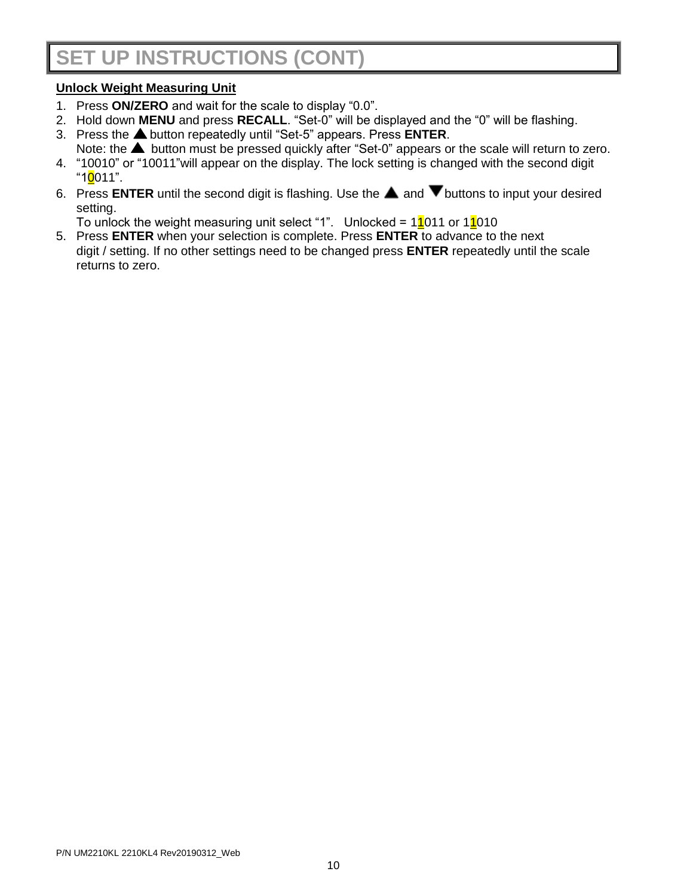## **SET UP INSTRUCTIONS (CONT)**

### **Unlock Weight Measuring Unit**

- 1. Press **ON/ZERO** and wait for the scale to display "0.0".
- 2. Hold down **MENU** and press **RECALL**. "Set-0" will be displayed and the "0" will be flashing.
- 3. Press the **A** button repeatedly until "Set-5" appears. Press **ENTER**.
- Note: the **A** button must be pressed quickly after "Set-0" appears or the scale will return to zero. 4. "10010" or "10011"will appear on the display. The lock setting is changed with the second digit
- "10011".
- 6. Press **ENTER** until the second digit is flashing. Use the  $\triangle$  and  $\nabla$  buttons to input your desired setting.

To unlock the weight measuring unit select "1". Unlocked =  $11011$  or  $11010$ 

5. Press **ENTER** when your selection is complete. Press **ENTER** to advance to the next digit / setting. If no other settings need to be changed press **ENTER** repeatedly until the scale returns to zero.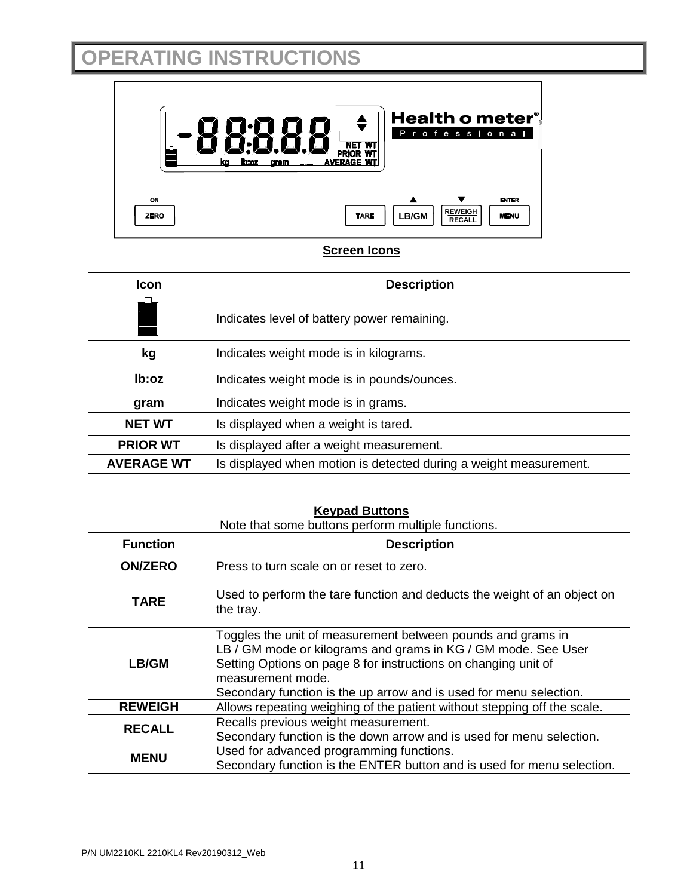## **OPERATING INSTRUCTIONS**



### **Screen Icons**

| <b>Icon</b>       | <b>Description</b>                                                |
|-------------------|-------------------------------------------------------------------|
|                   | Indicates level of battery power remaining.                       |
| kg                | Indicates weight mode is in kilograms.                            |
| lb:oz             | Indicates weight mode is in pounds/ounces.                        |
| gram              | Indicates weight mode is in grams.                                |
| <b>NET WT</b>     | Is displayed when a weight is tared.                              |
| <b>PRIOR WT</b>   | Is displayed after a weight measurement.                          |
| <b>AVERAGE WT</b> | Is displayed when motion is detected during a weight measurement. |

### **Keypad Buttons**

Note that some buttons perform multiple functions.

| <b>Function</b>                                                                                                                   | <b>Description</b>                                                                                                                                                                                                                                                                        |  |  |
|-----------------------------------------------------------------------------------------------------------------------------------|-------------------------------------------------------------------------------------------------------------------------------------------------------------------------------------------------------------------------------------------------------------------------------------------|--|--|
| <b>ON/ZERO</b>                                                                                                                    | Press to turn scale on or reset to zero.                                                                                                                                                                                                                                                  |  |  |
| <b>TARE</b>                                                                                                                       | Used to perform the tare function and deducts the weight of an object on<br>the tray.                                                                                                                                                                                                     |  |  |
| LB/GM                                                                                                                             | Toggles the unit of measurement between pounds and grams in<br>LB / GM mode or kilograms and grams in KG / GM mode. See User<br>Setting Options on page 8 for instructions on changing unit of<br>measurement mode.<br>Secondary function is the up arrow and is used for menu selection. |  |  |
| <b>REWEIGH</b>                                                                                                                    | Allows repeating weighing of the patient without stepping off the scale.                                                                                                                                                                                                                  |  |  |
| <b>RECALL</b>                                                                                                                     | Recalls previous weight measurement.<br>Secondary function is the down arrow and is used for menu selection.                                                                                                                                                                              |  |  |
| Used for advanced programming functions.<br><b>MENU</b><br>Secondary function is the ENTER button and is used for menu selection. |                                                                                                                                                                                                                                                                                           |  |  |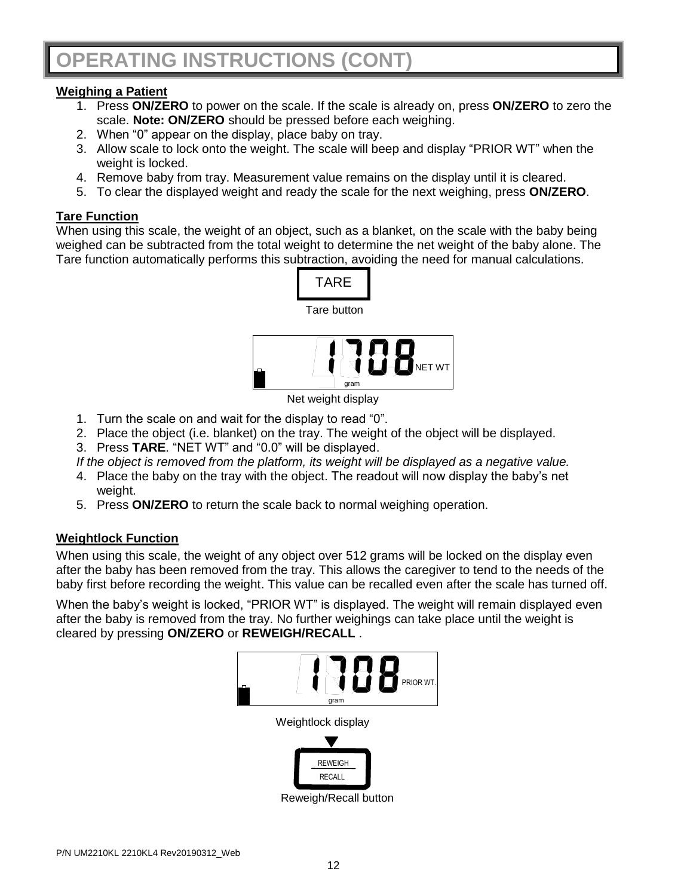### **Weighing a Patient**

- 1. Press **ON/ZERO** to power on the scale. If the scale is already on, press **ON/ZERO** to zero the scale. **Note: ON/ZERO** should be pressed before each weighing.
- 2. When "0" appear on the display, place baby on tray.
- 3. Allow scale to lock onto the weight. The scale will beep and display "PRIOR WT" when the weight is locked.
- 4. Remove baby from tray. Measurement value remains on the display until it is cleared.
- 5. To clear the displayed weight and ready the scale for the next weighing, press **ON/ZERO**.

### **Tare Function**

When using this scale, the weight of an object, such as a blanket, on the scale with the baby being weighed can be subtracted from the total weight to determine the net weight of the baby alone. The Tare function automatically performs this subtraction, avoiding the need for manual calculations.



Net weight display

- 1. Turn the scale on and wait for the display to read "0".
- 2. Place the object (i.e. blanket) on the tray. The weight of the object will be displayed.
- 3. Press **TARE**. "NET WT" and "0.0" will be displayed.

*If the object is removed from the platform, its weight will be displayed as a negative value.*

- 4. Place the baby on the tray with the object. The readout will now display the baby's net weight.
- 5. Press **ON/ZERO** to return the scale back to normal weighing operation.

### **Weightlock Function**

When using this scale, the weight of any object over 512 grams will be locked on the display even after the baby has been removed from the tray. This allows the caregiver to tend to the needs of the baby first before recording the weight. This value can be recalled even after the scale has turned off.

When the baby's weight is locked, "PRIOR WT" is displayed. The weight will remain displayed even after the baby is removed from the tray. No further weighings can take place until the weight is cleared by pressing **ON/ZERO** or **REWEIGH/RECALL** .



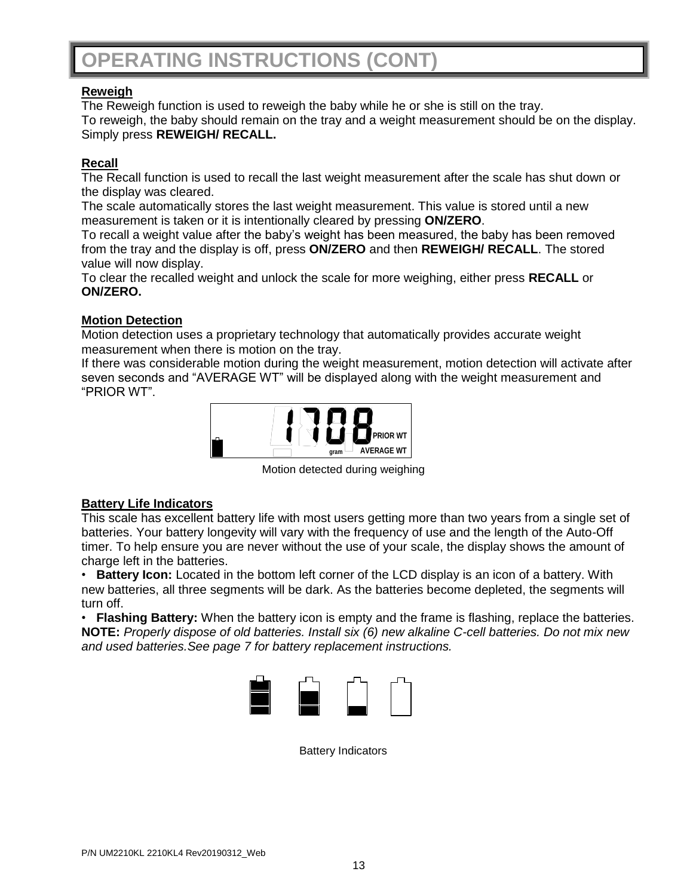## **OPERATING INSTRUCTIONS (CONT)**

### **Reweigh**

The Reweigh function is used to reweigh the baby while he or she is still on the tray. To reweigh, the baby should remain on the tray and a weight measurement should be on the display. Simply press **REWEIGH/ RECALL.**

### **Recall**

The Recall function is used to recall the last weight measurement after the scale has shut down or the display was cleared.

The scale automatically stores the last weight measurement. This value is stored until a new measurement is taken or it is intentionally cleared by pressing **ON/ZERO**.

To recall a weight value after the baby's weight has been measured, the baby has been removed from the tray and the display is off, press **ON/ZERO** and then **REWEIGH/ RECALL**. The stored value will now display.

To clear the recalled weight and unlock the scale for more weighing, either press **RECALL** or **ON/ZERO.**

### **Motion Detection**

Motion detection uses a proprietary technology that automatically provides accurate weight measurement when there is motion on the tray.

If there was considerable motion during the weight measurement, motion detection will activate after seven seconds and "AVERAGE WT" will be displayed along with the weight measurement and "PRIOR WT".



Motion detected during weighing

### **Battery Life Indicators**

This scale has excellent battery life with most users getting more than two years from a single set of batteries. Your battery longevity will vary with the frequency of use and the length of the Auto-Off timer. To help ensure you are never without the use of your scale, the display shows the amount of charge left in the batteries.

• **Battery Icon:** Located in the bottom left corner of the LCD display is an icon of a battery. With new batteries, all three segments will be dark. As the batteries become depleted, the segments will turn off.

• **Flashing Battery:** When the battery icon is empty and the frame is flashing, replace the batteries. **NOTE:** *Properly dispose of old batteries. Install six (6) new alkaline C-cell batteries. Do not mix new and used batteries.See page 7 for battery replacement instructions.*



Battery Indicators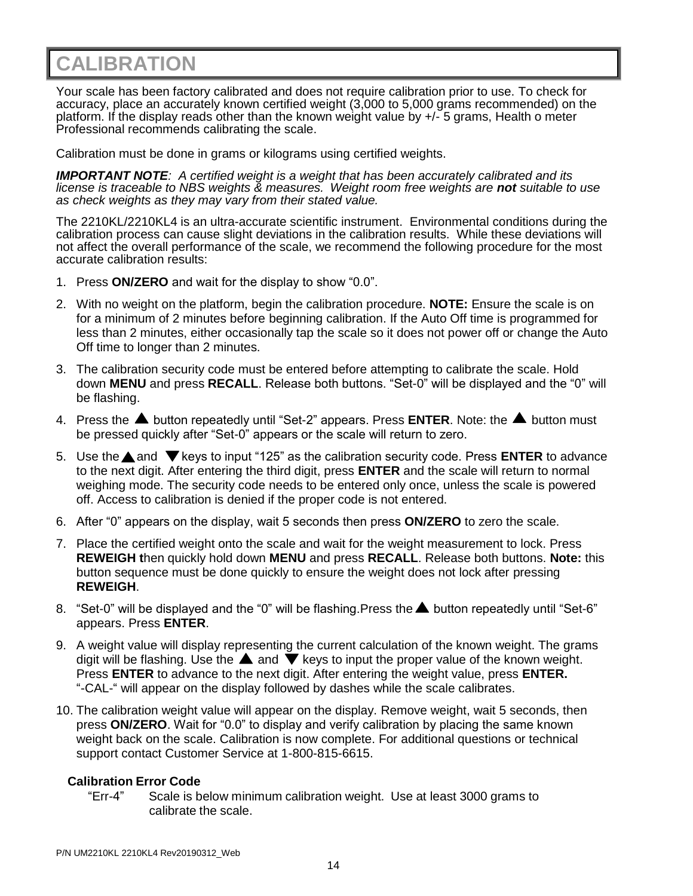## **CALIBRATION**

Your scale has been factory calibrated and does not require calibration prior to use. To check for accuracy, place an accurately known certified weight (3,000 to 5,000 grams recommended) on the platform. If the display reads other than the known weight value by +/- 5 grams, Health o meter Professional recommends calibrating the scale.

Calibration must be done in grams or kilograms using certified weights.

*IMPORTANT NOTE: A certified weight is a weight that has been accurately calibrated and its license is traceable to NBS weights & measures. Weight room free weights are not suitable to use as check weights as they may vary from their stated value.* 

The 2210KL/2210KL4 is an ultra-accurate scientific instrument. Environmental conditions during the calibration process can cause slight deviations in the calibration results. While these deviations will not affect the overall performance of the scale, we recommend the following procedure for the most accurate calibration results:

- 1. Press **ON/ZERO** and wait for the display to show "0.0".
- 2. With no weight on the platform, begin the calibration procedure. **NOTE:** Ensure the scale is on for a minimum of 2 minutes before beginning calibration. If the Auto Off time is programmed for less than 2 minutes, either occasionally tap the scale so it does not power off or change the Auto Off time to longer than 2 minutes.
- 3. The calibration security code must be entered before attempting to calibrate the scale. Hold down **MENU** and press **RECALL**. Release both buttons. "Set-0" will be displayed and the "0" will be flashing.
- 4. Press the **A** button repeatedly until "Set-2" appears. Press **ENTER**. Note: the **A** button must be pressed quickly after "Set-0" appears or the scale will return to zero.
- 5. Use the **△** and ▼ keys to input "125" as the calibration security code. Press **ENTER** to advance to the next digit. After entering the third digit, press **ENTER** and the scale will return to normal weighing mode. The security code needs to be entered only once, unless the scale is powered off. Access to calibration is denied if the proper code is not entered.
- 6. After "0" appears on the display, wait 5 seconds then press **ON/ZERO** to zero the scale.
- 7. Place the certified weight onto the scale and wait for the weight measurement to lock. Press **REWEIGH t**hen quickly hold down **MENU** and press **RECALL**. Release both buttons. **Note:** this button sequence must be done quickly to ensure the weight does not lock after pressing **REWEIGH**.
- 8. "Set-0" will be displayed and the "0" will be flashing. Press the  $\blacktriangle$  button repeatedly until "Set-6" appears. Press **ENTER**.
- 9. A weight value will display representing the current calculation of the known weight. The grams digit will be flashing. Use the  $\blacktriangle$  and  $\blacktriangledown$  keys to input the proper value of the known weight. Press **ENTER** to advance to the next digit. After entering the weight value, press **ENTER.**  "-CAL-" will appear on the display followed by dashes while the scale calibrates.
- 10. The calibration weight value will appear on the display. Remove weight, wait 5 seconds, then press **ON/ZERO**. Wait for "0.0" to display and verify calibration by placing the same known weight back on the scale. Calibration is now complete. For additional questions or technical support contact Customer Service at 1-800-815-6615.

### **Calibration Error Code**

"Err-4" Scale is below minimum calibration weight. Use at least 3000 grams to calibrate the scale.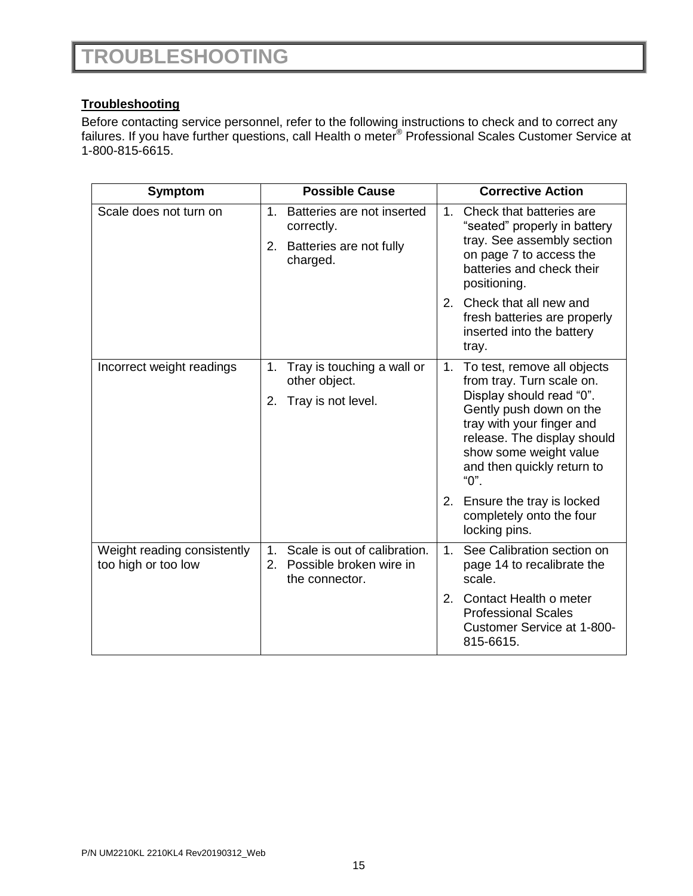### **Troubleshooting**

Before contacting service personnel, refer to the following instructions to check and to correct any failures. If you have further questions, call Health o meter<sup>®</sup> Professional Scales Customer Service at 1-800-815-6615.

| Symptom                                            | <b>Possible Cause</b>                                                                         | <b>Corrective Action</b>                                                                                                                                                                                                                                                                                                                      |
|----------------------------------------------------|-----------------------------------------------------------------------------------------------|-----------------------------------------------------------------------------------------------------------------------------------------------------------------------------------------------------------------------------------------------------------------------------------------------------------------------------------------------|
| Scale does not turn on                             | $1_{-}$<br>Batteries are not inserted<br>correctly.<br>2. Batteries are not fully<br>charged. | Check that batteries are<br>1.<br>"seated" properly in battery<br>tray. See assembly section<br>on page 7 to access the<br>batteries and check their<br>positioning.                                                                                                                                                                          |
|                                                    |                                                                                               | Check that all new and<br>2.<br>fresh batteries are properly<br>inserted into the battery<br>tray.                                                                                                                                                                                                                                            |
| Incorrect weight readings                          | Tray is touching a wall or<br>1.<br>other object.<br>Tray is not level.<br>2.                 | To test, remove all objects<br>1 <sub>1</sub><br>from tray. Turn scale on.<br>Display should read "0".<br>Gently push down on the<br>tray with your finger and<br>release. The display should<br>show some weight value<br>and then quickly return to<br>"0".<br>2.<br>Ensure the tray is locked<br>completely onto the four<br>locking pins. |
| Weight reading consistently<br>too high or too low | Scale is out of calibration.<br>$1_{-}$<br>2. Possible broken wire in<br>the connector.       | See Calibration section on<br>1 <sub>1</sub><br>page 14 to recalibrate the<br>scale.<br>2.<br>Contact Health o meter<br><b>Professional Scales</b><br>Customer Service at 1-800-<br>815-6615.                                                                                                                                                 |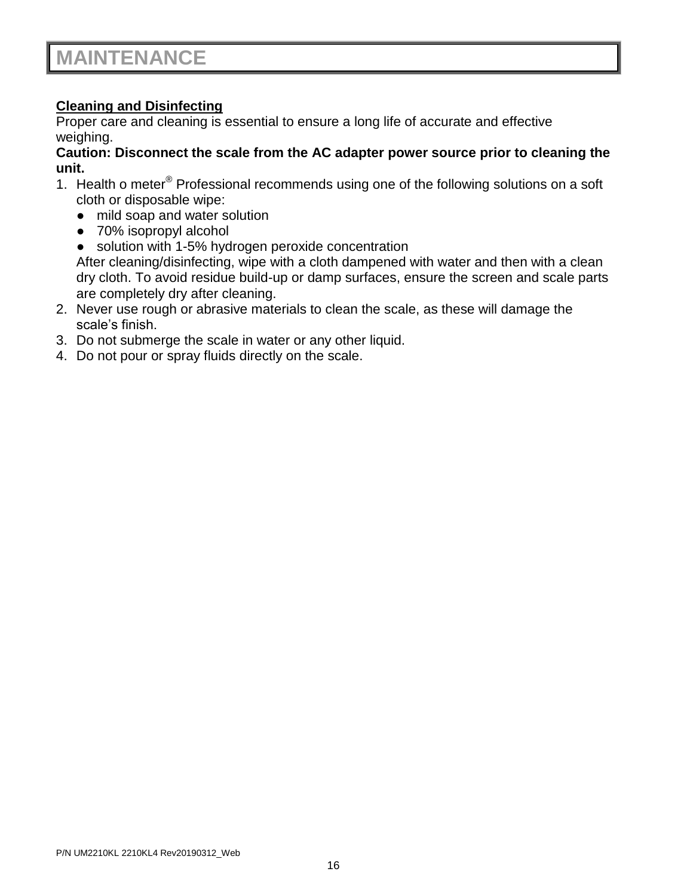### **Cleaning and Disinfecting**

Proper care and cleaning is essential to ensure a long life of accurate and effective weighing.

### **Caution: Disconnect the scale from the AC adapter power source prior to cleaning the unit.**

- 1. Health o meter<sup>®</sup> Professional recommends using one of the following solutions on a soft cloth or disposable wipe:
	- mild soap and water solution
	- 70% isopropyl alcohol
	- solution with 1-5% hydrogen peroxide concentration

After cleaning/disinfecting, wipe with a cloth dampened with water and then with a clean dry cloth. To avoid residue build-up or damp surfaces, ensure the screen and scale parts are completely dry after cleaning.

- 2. Never use rough or abrasive materials to clean the scale, as these will damage the scale's finish.
- 3. Do not submerge the scale in water or any other liquid.
- 4. Do not pour or spray fluids directly on the scale.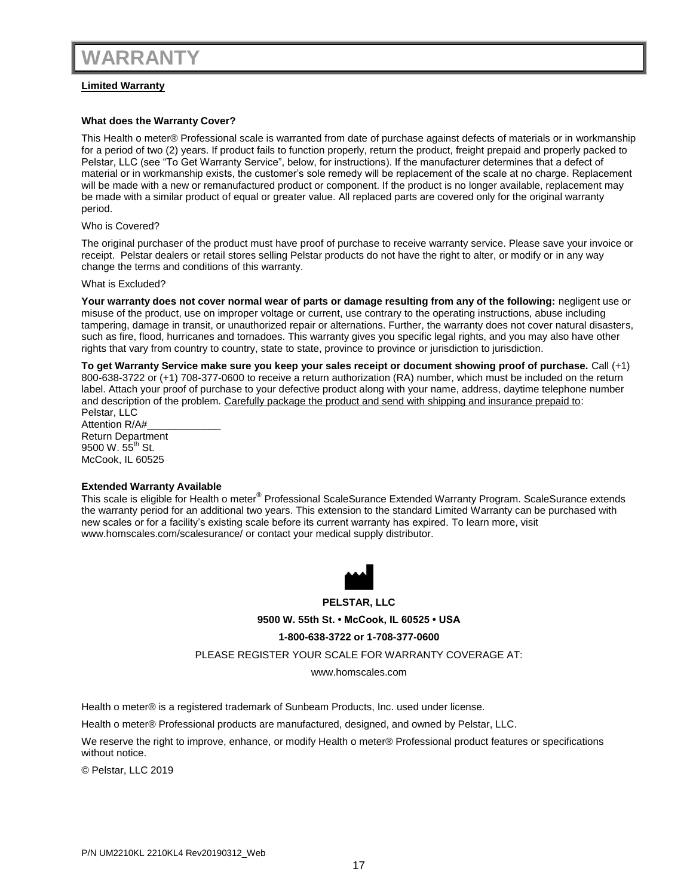### **Limited Warranty**

### **What does the Warranty Cover?**

This Health o meter® Professional scale is warranted from date of purchase against defects of materials or in workmanship for a period of two (2) years. If product fails to function properly, return the product, freight prepaid and properly packed to Pelstar, LLC (see "To Get Warranty Service", below, for instructions). If the manufacturer determines that a defect of material or in workmanship exists, the customer's sole remedy will be replacement of the scale at no charge. Replacement will be made with a new or remanufactured product or component. If the product is no longer available, replacement may be made with a similar product of equal or greater value. All replaced parts are covered only for the original warranty period.

### Who is Covered?

The original purchaser of the product must have proof of purchase to receive warranty service. Please save your invoice or receipt. Pelstar dealers or retail stores selling Pelstar products do not have the right to alter, or modify or in any way change the terms and conditions of this warranty.

### What is Excluded?

**Your warranty does not cover normal wear of parts or damage resulting from any of the following:** negligent use or misuse of the product, use on improper voltage or current, use contrary to the operating instructions, abuse including tampering, damage in transit, or unauthorized repair or alternations. Further, the warranty does not cover natural disasters, such as fire, flood, hurricanes and tornadoes. This warranty gives you specific legal rights, and you may also have other rights that vary from country to country, state to state, province to province or jurisdiction to jurisdiction.

**To get Warranty Service make sure you keep your sales receipt or document showing proof of purchase.** Call (+1) 800-638-3722 or (+1) 708-377-0600 to receive a return authorization (RA) number, which must be included on the return label. Attach your proof of purchase to your defective product along with your name, address, daytime telephone number and description of the problem. Carefully package the product and send with shipping and insurance prepaid to: Pelstar, LLC

Attention R/A#\_\_\_\_\_\_\_\_\_\_\_\_\_ Return Department 9500 W.  $55^{th}$  St. McCook, IL 60525

### **Extended Warranty Available**

This scale is eligible for Health o meter<sup>®</sup> Professional ScaleSurance Extended Warranty Program. ScaleSurance extends the warranty period for an additional two years. This extension to the standard Limited Warranty can be purchased with new scales or for a facility's existing scale before its current warranty has expired. To learn more, visit www.homscales.com/scalesurance/ or contact your medical supply distributor.

![](_page_16_Picture_12.jpeg)

**PELSTAR, LLC**

**9500 W. 55th St. • McCook, IL 60525 • USA**

**1-800-638-3722 or 1-708-377-0600**

PLEASE REGISTER YOUR SCALE FOR WARRANTY COVERAGE AT:

www.homscales.com

Health o meter® is a registered trademark of Sunbeam Products, Inc. used under license.

Health o meter® Professional products are manufactured, designed, and owned by Pelstar, LLC.

We reserve the right to improve, enhance, or modify Health o meter® Professional product features or specifications without notice.

© Pelstar, LLC 2019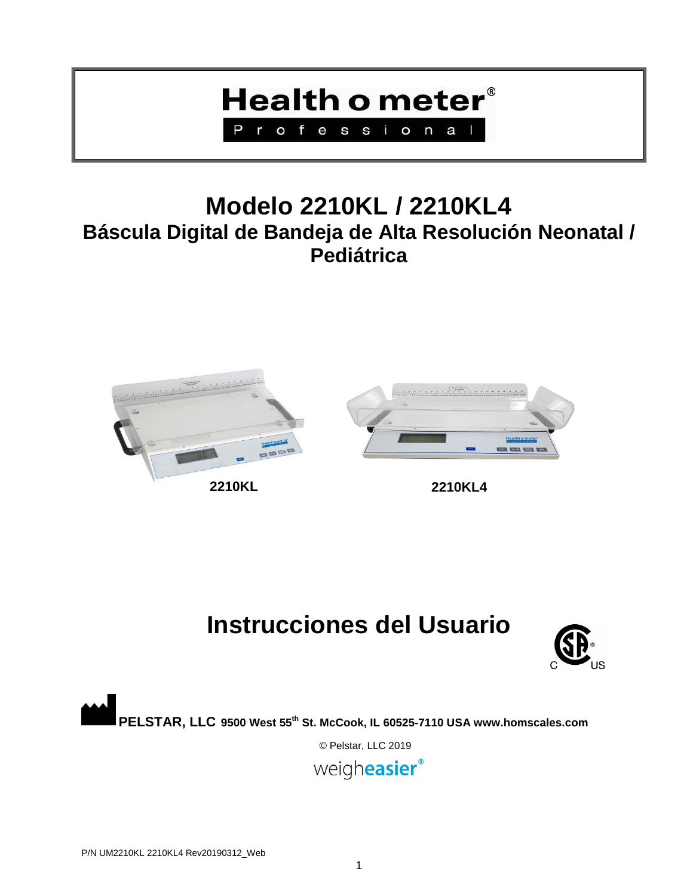## **Health o meter**® Professiona

## **Modelo 2210KL / 2210KL4 Báscula Digital de Bandeja de Alta Resolución Neonatal / Pediátrica**

![](_page_18_Picture_2.jpeg)

![](_page_18_Picture_4.jpeg)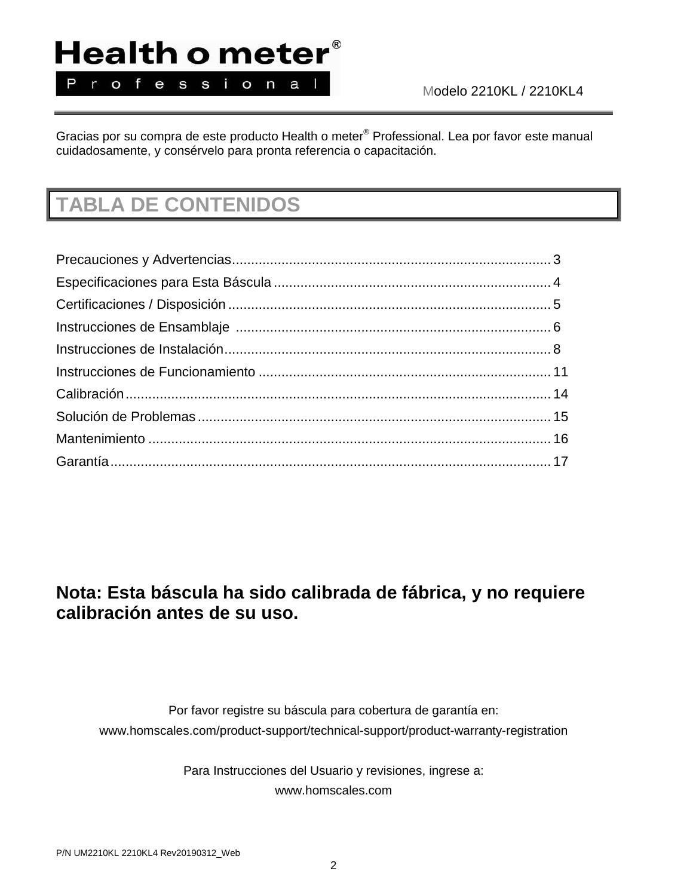## Health o meter® Professional

Modelo 2210KL / 2210KL4

Gracias por su compra de este producto Health o meter® Professional. Lea por favor este manual cuidadosamente, y consérvelo para pronta referencia o capacitación.

## **TABLA DE CONTENIDOS**

### **Nota: Esta báscula ha sido calibrada de fábrica, y no requiere calibración antes de su uso.**

Por favor registre su báscula para cobertura de garantía en: www.homscales.com/product-support/technical-support/product-warranty-registration

> Para Instrucciones del Usuario y revisiones, ingrese a: www.homscales.com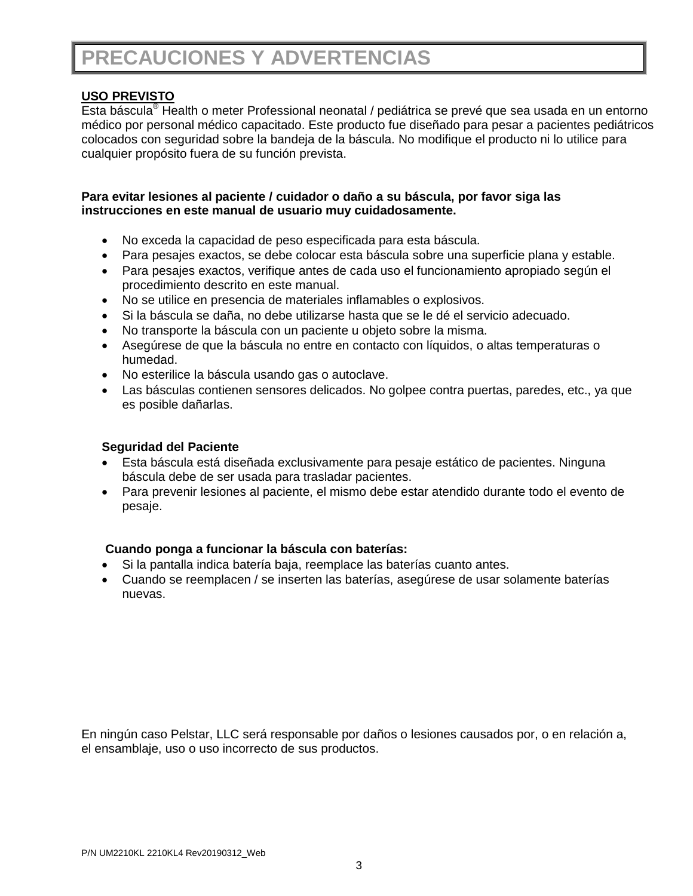## **PRECAUCIONES Y ADVERTENCIAS**

### **USO PREVISTO**

Esta báscula® Health o meter Professional neonatal / pediátrica se prevé que sea usada en un entorno médico por personal médico capacitado. Este producto fue diseñado para pesar a pacientes pediátricos colocados con seguridad sobre la bandeja de la báscula. No modifique el producto ni lo utilice para cualquier propósito fuera de su función prevista.

### **Para evitar lesiones al paciente / cuidador o daño a su báscula, por favor siga las instrucciones en este manual de usuario muy cuidadosamente.**

- No exceda la capacidad de peso especificada para esta báscula.
- Para pesajes exactos, se debe colocar esta báscula sobre una superficie plana y estable.
- Para pesajes exactos, verifique antes de cada uso el funcionamiento apropiado según el procedimiento descrito en este manual.
- No se utilice en presencia de materiales inflamables o explosivos.
- Si la báscula se daña, no debe utilizarse hasta que se le dé el servicio adecuado.
- No transporte la báscula con un paciente u objeto sobre la misma.
- Asegúrese de que la báscula no entre en contacto con líquidos, o altas temperaturas o humedad.
- No esterilice la báscula usando gas o autoclave.
- Las básculas contienen sensores delicados. No golpee contra puertas, paredes, etc., ya que es posible dañarlas.

### **Seguridad del Paciente**

- Esta báscula está diseñada exclusivamente para pesaje estático de pacientes. Ninguna báscula debe de ser usada para trasladar pacientes.
- Para prevenir lesiones al paciente, el mismo debe estar atendido durante todo el evento de pesaje.

### **Cuando ponga a funcionar la báscula con baterías:**

- Si la pantalla indica batería baja, reemplace las baterías cuanto antes.
- Cuando se reemplacen / se inserten las baterías, asegúrese de usar solamente baterías nuevas.

En ningún caso Pelstar, LLC será responsable por daños o lesiones causados por, o en relación a, el ensamblaje, uso o uso incorrecto de sus productos.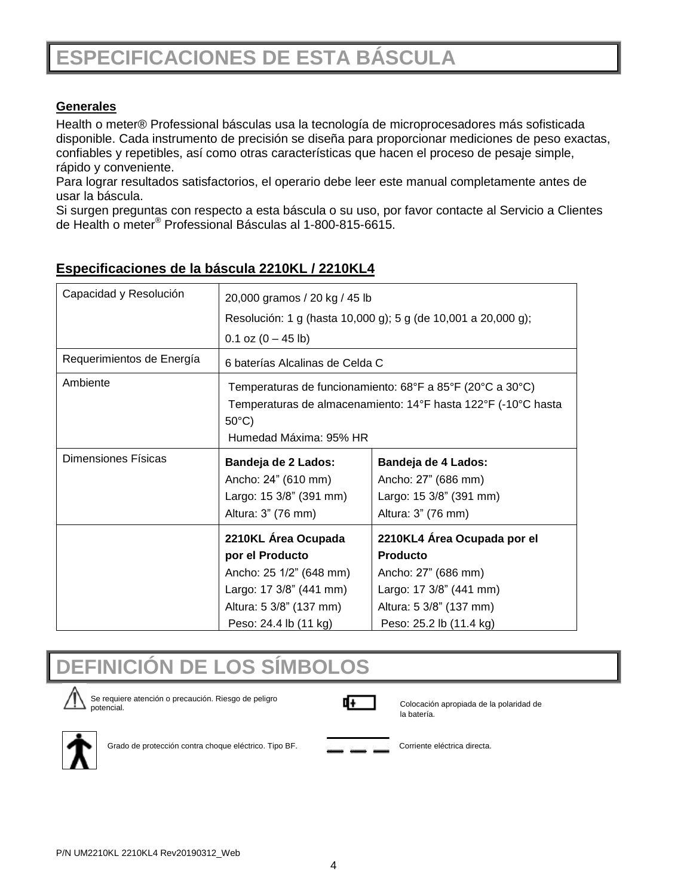## **ESPECIFICACIONES DE ESTA BÁSCULA**

### **Generales**

Health o meter® Professional básculas usa la tecnología de microprocesadores más sofisticada disponible. Cada instrumento de precisión se diseña para proporcionar mediciones de peso exactas, confiables y repetibles, así como otras características que hacen el proceso de pesaje simple, rápido y conveniente.

Para lograr resultados satisfactorios, el operario debe leer este manual completamente antes de usar la báscula.

Si surgen preguntas con respecto a esta báscula o su uso, por favor contacte al Servicio a Clientes de Health o meter® Professional Básculas al 1-800-815-6615.

| Capacidad y Resolución    | 20,000 gramos / 20 kg / 45 lb                                                                                                                                           |                                                                                                                                                        |  |
|---------------------------|-------------------------------------------------------------------------------------------------------------------------------------------------------------------------|--------------------------------------------------------------------------------------------------------------------------------------------------------|--|
|                           | Resolución: 1 g (hasta 10,000 g); 5 g (de 10,001 a 20,000 g);                                                                                                           |                                                                                                                                                        |  |
|                           | $0.1$ oz $(0 - 45$ lb)                                                                                                                                                  |                                                                                                                                                        |  |
| Requerimientos de Energía | 6 baterías Alcalinas de Celda C                                                                                                                                         |                                                                                                                                                        |  |
| Ambiente                  | Temperaturas de funcionamiento: 68°F a 85°F (20°C a 30°C)<br>Temperaturas de almacenamiento: 14°F hasta 122°F (-10°C hasta<br>$50^{\circ}$ C)<br>Humedad Máxima: 95% HR |                                                                                                                                                        |  |
| Dimensiones Físicas       | Bandeja de 2 Lados:<br>Ancho: 24" (610 mm)<br>Largo: 15 3/8" (391 mm)<br>Altura: 3" (76 mm)                                                                             | Bandeja de 4 Lados:<br>Ancho: 27" (686 mm)<br>Largo: 15 3/8" (391 mm)<br>Altura: 3" (76 mm)                                                            |  |
|                           | 2210KL Área Ocupada<br>por el Producto<br>Ancho: 25 1/2" (648 mm)<br>Largo: 17 3/8" (441 mm)<br>Altura: 5 3/8" (137 mm)<br>Peso: 24.4 lb (11 kg)                        | 2210KL4 Área Ocupada por el<br><b>Producto</b><br>Ancho: 27" (686 mm)<br>Largo: 17 3/8" (441 mm)<br>Altura: 5 3/8" (137 mm)<br>Peso: 25.2 lb (11.4 kg) |  |

### **Especificaciones de la báscula 2210KL / 2210KL4**

![](_page_21_Picture_7.jpeg)

![](_page_21_Picture_8.jpeg)

Se requiere atención o precaución. Riesgo de peligro potencial.

![](_page_21_Picture_10.jpeg)

Colocación apropiada de la polaridad de la batería.

![](_page_21_Picture_12.jpeg)

Grado de protección contra choque eléctrico. Tipo BF. Corriente eléctrica directa.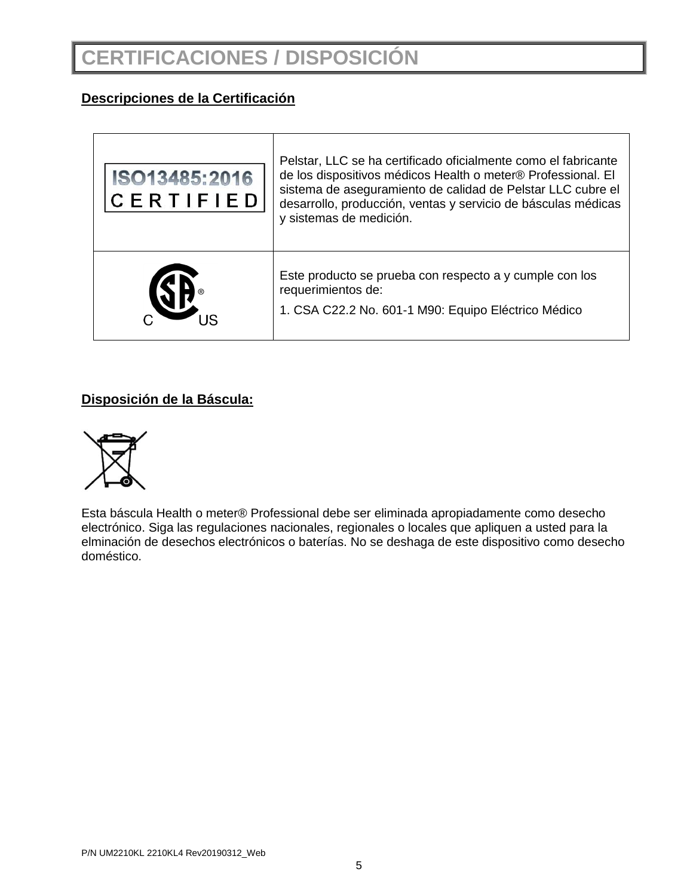## **CERTIFICACIONES / DISPOSICIÓN**

### **Descripciones de la Certificación**

| ISO13485:2016<br>CERTIFIED | Pelstar, LLC se ha certificado oficialmente como el fabricante<br>de los dispositivos médicos Health o meter® Professional. El<br>sistema de aseguramiento de calidad de Pelstar LLC cubre el<br>desarrollo, producción, ventas y servicio de básculas médicas<br>y sistemas de medición. |
|----------------------------|-------------------------------------------------------------------------------------------------------------------------------------------------------------------------------------------------------------------------------------------------------------------------------------------|
|                            | Este producto se prueba con respecto a y cumple con los<br>requerimientos de:<br>1. CSA C22.2 No. 601-1 M90: Equipo Eléctrico Médico                                                                                                                                                      |

### **Disposición de la Báscula:**

![](_page_22_Picture_4.jpeg)

Esta báscula Health o meter® Professional debe ser eliminada apropiadamente como desecho electrónico. Siga las regulaciones nacionales, regionales o locales que apliquen a usted para la elminación de desechos electrónicos o baterías. No se deshaga de este dispositivo como desecho doméstico.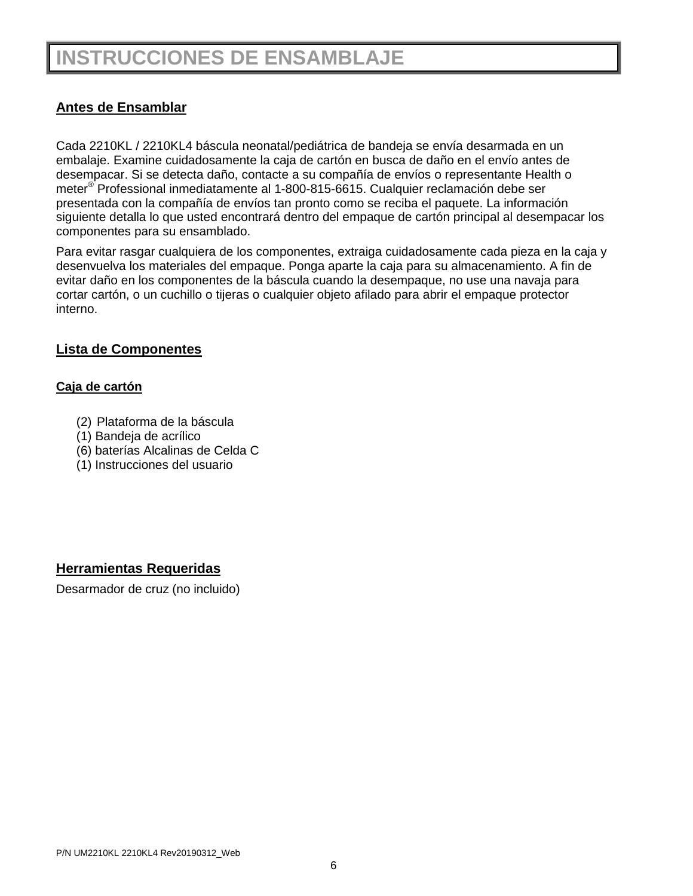## **INSTRUCCIONES DE ENSAMBLAJE**

### **Antes de Ensamblar**

Cada 2210KL / 2210KL4 báscula neonatal/pediátrica de bandeja se envía desarmada en un embalaje. Examine cuidadosamente la caja de cartón en busca de daño en el envío antes de desempacar. Si se detecta daño, contacte a su compañía de envíos o representante Health o meter® Professional inmediatamente al 1-800-815-6615. Cualquier reclamación debe ser presentada con la compañía de envíos tan pronto como se reciba el paquete. La información siguiente detalla lo que usted encontrará dentro del empaque de cartón principal al desempacar los componentes para su ensamblado.

Para evitar rasgar cualquiera de los componentes, extraiga cuidadosamente cada pieza en la caja y desenvuelva los materiales del empaque. Ponga aparte la caja para su almacenamiento. A fin de evitar daño en los componentes de la báscula cuando la desempaque, no use una navaja para cortar cartón, o un cuchillo o tijeras o cualquier objeto afilado para abrir el empaque protector interno.

### **Lista de Componentes**

### **Caja de cartón**

- (2) Plataforma de la báscula
- (1) Bandeja de acrílico
- (6) baterías Alcalinas de Celda C
- (1) Instrucciones del usuario

### **Herramientas Requeridas**

Desarmador de cruz (no incluido)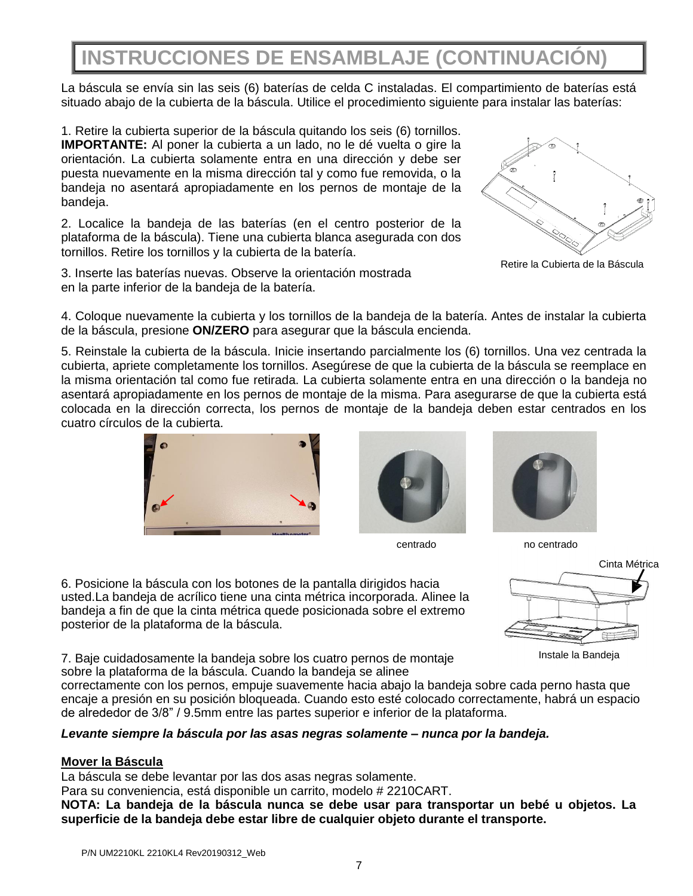## **INSTRUCCIONES DE ENSAMBLAJE (CONTINUACIÓN)**

La báscula se envía sin las seis (6) baterías de celda C instaladas. El compartimiento de baterías está situado abajo de la cubierta de la báscula. Utilice el procedimiento siguiente para instalar las baterías:

1. Retire la cubierta superior de la báscula quitando los seis (6) tornillos. **IMPORTANTE:** Al poner la cubierta a un lado, no le dé vuelta o gire la orientación. La cubierta solamente entra en una dirección y debe ser puesta nuevamente en la misma dirección tal y como fue removida, o la bandeja no asentará apropiadamente en los pernos de montaje de la bandeja.

2. Localice la bandeja de las baterías (en el centro posterior de la plataforma de la báscula). Tiene una cubierta blanca asegurada con dos tornillos. Retire los tornillos y la cubierta de la batería.

3. Inserte las baterías nuevas. Observe la orientación mostrada en la parte inferior de la bandeja de la batería.

![](_page_24_Picture_5.jpeg)

Retire la Cubierta de la Báscula

4. Coloque nuevamente la cubierta y los tornillos de la bandeja de la batería. Antes de instalar la cubierta de la báscula, presione **ON/ZERO** para asegurar que la báscula encienda.

5. Reinstale la cubierta de la báscula. Inicie insertando parcialmente los (6) tornillos. Una vez centrada la cubierta, apriete completamente los tornillos. Asegúrese de que la cubierta de la báscula se reemplace en la misma orientación tal como fue retirada. La cubierta solamente entra en una dirección o la bandeja no asentará apropiadamente en los pernos de montaje de la misma. Para asegurarse de que la cubierta está colocada en la dirección correcta, los pernos de montaje de la bandeja deben estar centrados en los cuatro círculos de la cubierta.

![](_page_24_Picture_9.jpeg)

![](_page_24_Picture_10.jpeg)

![](_page_24_Picture_12.jpeg)

centrado no centrado

6. Posicione la báscula con los botones de la pantalla dirigidos hacia usted.La bandeja de acrílico tiene una cinta métrica incorporada. Alinee la bandeja a fin de que la cinta métrica quede posicionada sobre el extremo posterior de la plataforma de la báscula.

![](_page_24_Figure_15.jpeg)

Instale la Bandeja

7. Baje cuidadosamente la bandeja sobre los cuatro pernos de montaje sobre la plataforma de la báscula. Cuando la bandeja se alinee

correctamente con los pernos, empuje suavemente hacia abajo la bandeja sobre cada perno hasta que encaje a presión en su posición bloqueada. Cuando esto esté colocado correctamente, habrá un espacio de alrededor de 3/8" / 9.5mm entre las partes superior e inferior de la plataforma.

### *Levante siempre la báscula por las asas negras solamente – nunca por la bandeja.*

### **Mover la Báscula**

La báscula se debe levantar por las dos asas negras solamente.

Para su conveniencia, está disponible un carrito, modelo # 2210CART.

**NOTA: La bandeja de la báscula nunca se debe usar para transportar un bebé u objetos. La superficie de la bandeja debe estar libre de cualquier objeto durante el transporte.**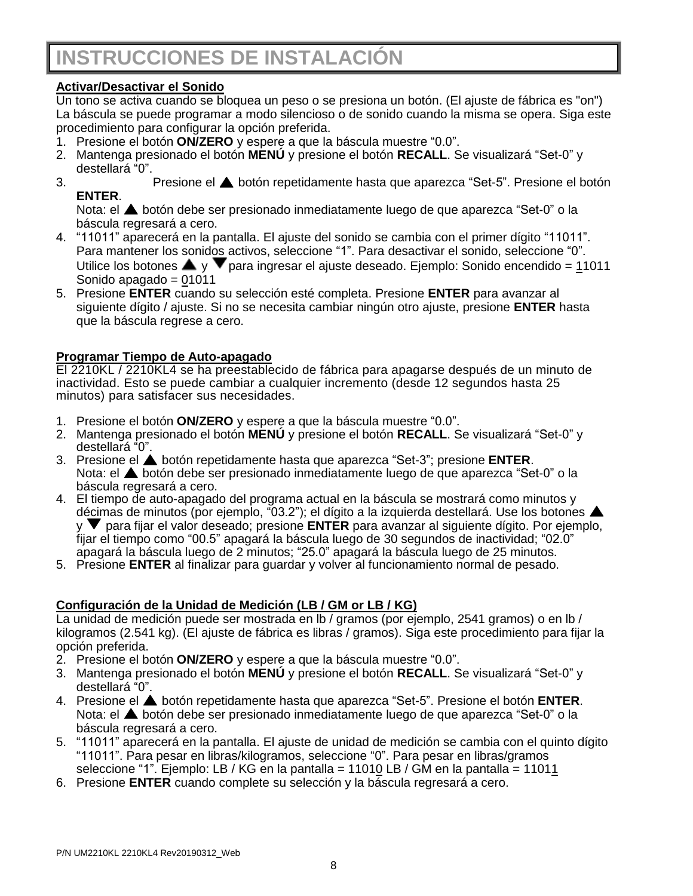### **Activar/Desactivar el Sonido**

Un tono se activa cuando se bloquea un peso o se presiona un botón. (El ajuste de fábrica es "on") La báscula se puede programar a modo silencioso o de sonido cuando la misma se opera. Siga este procedimiento para configurar la opción preferida.

- 1. Presione el botón **ON/ZERO** y espere a que la báscula muestre "0.0".
- 2. Mantenga presionado el botón **MENÚ** y presione el botón **RECALL**. Se visualizará "Set-0" y destellará "0".
- 3. Presione el botón repetidamente hasta que aparezca "Set-5". Presione el botón **ENTER**.

Nota: el **A** botón debe ser presionado inmediatamente luego de que aparezca "Set-0" o la báscula regresará a cero.

- 4. "11011" aparecerá en la pantalla. El ajuste del sonido se cambia con el primer dígito "11011". Para mantener los sonidos activos, seleccione "1". Para desactivar el sonido, seleccione "0". Utilice los botones  $\blacktriangle$  y  $\nabla$  para ingresar el ajuste deseado. Ejemplo: Sonido encendido = 11011 Sonido apagado = 01011
- 5. Presione **ENTER** cuando su selección esté completa. Presione **ENTER** para avanzar al siguiente dígito / ajuste. Si no se necesita cambiar ningún otro ajuste, presione **ENTER** hasta que la báscula regrese a cero.

### **Programar Tiempo de Auto-apagado**

El 2210KL / 2210KL4 se ha preestablecido de fábrica para apagarse después de un minuto de inactividad. Esto se puede cambiar a cualquier incremento (desde 12 segundos hasta 25 minutos) para satisfacer sus necesidades.

- 1. Presione el botón **ON/ZERO** y espere a que la báscula muestre "0.0".
- 2. Mantenga presionado el botón **MENÚ** y presione el botón **RECALL**. Se visualizará "Set-0" y destellará "0".
- 3. Presione el botón repetidamente hasta que aparezca "Set-3"; presione **ENTER**. Nota: el **A** botón debe ser presionado inmediatamente luego de que aparezca "Set-0" o la báscula regresará a cero.
- 4. El tiempo de auto-apagado del programa actual en la báscula se mostrará como minutos y décimas de minutos (por ejemplo, "03.2"); el dígito a la izquierda destellará. Use los botones y para fijar el valor deseado; presione **ENTER** para avanzar al siguiente dígito. Por ejemplo, fijar el tiempo como "00.5" apagará la báscula luego de 30 segundos de inactividad; "02.0" apagará la báscula luego de 2 minutos; "25.0" apagará la báscula luego de 25 minutos.
- 5. Presione **ENTER** al finalizar para guardar y volver al funcionamiento normal de pesado.

### **Configuración de la Unidad de Medición (LB / GM or LB / KG)**

La unidad de medición puede ser mostrada en lb / gramos (por ejemplo, 2541 gramos) o en lb / kilogramos (2.541 kg). (El ajuste de fábrica es libras / gramos). Siga este procedimiento para fijar la opción preferida.

- 2. Presione el botón **ON/ZERO** y espere a que la báscula muestre "0.0".
- 3. Mantenga presionado el botón **MENÚ** y presione el botón **RECALL**. Se visualizará "Set-0" y destellará "0".
- 4. Presione el botón repetidamente hasta que aparezca "Set-5". Presione el botón **ENTER**. Nota: el  $\triangle$  botón debe ser presionado inmediatamente luego de que aparezca "Set-0" o la báscula regresará a cero.
- 5. "11011" aparecerá en la pantalla. El ajuste de unidad de medición se cambia con el quinto dígito "11011". Para pesar en libras/kilogramos, seleccione "0". Para pesar en libras/gramos seleccione "1". Ejemplo: LB / KG en la pantalla = 11010 LB / GM en la pantalla = 11011
- 6. Presione **ENTER** cuando complete su selección y la báscula regresará a cero.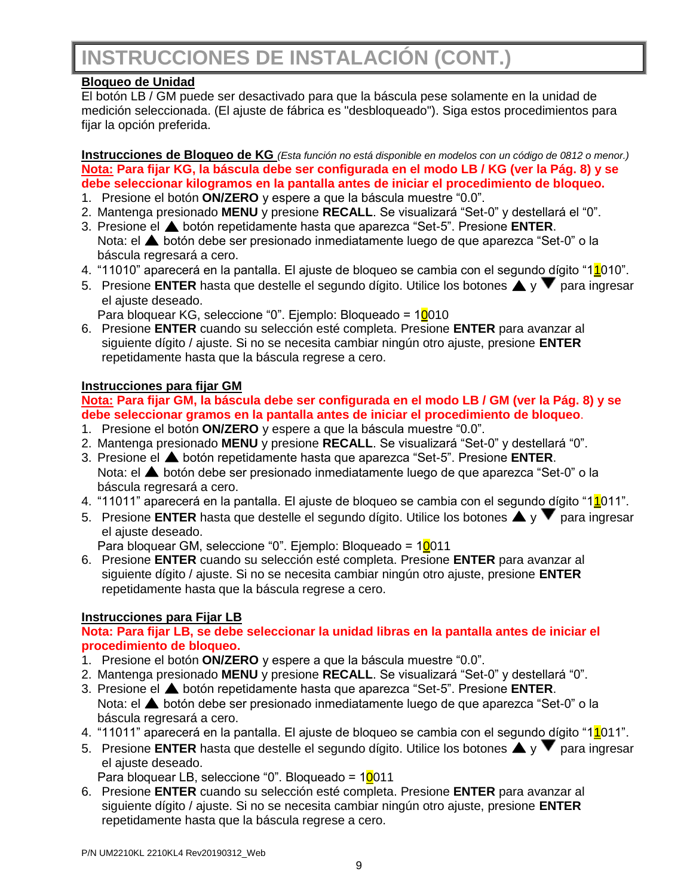### **Bloqueo de Unidad**

El botón LB / GM puede ser desactivado para que la báscula pese solamente en la unidad de medición seleccionada. (El ajuste de fábrica es "desbloqueado"). Siga estos procedimientos para fijar la opción preferida.

**Instrucciones de Bloqueo de KG** *(Esta función no está disponible en modelos con un código de 0812 o menor.)* **Nota: Para fijar KG, la báscula debe ser configurada en el modo LB / KG (ver la Pág. 8) y se debe seleccionar kilogramos en la pantalla antes de iniciar el procedimiento de bloqueo.**

- 1. Presione el botón **ON/ZERO** y espere a que la báscula muestre "0.0".
- 2. Mantenga presionado **MENU** y presione **RECALL**. Se visualizará "Set-0" y destellará el "0".
- 3. Presione el botón repetidamente hasta que aparezca "Set-5". Presione **ENTER**. Nota: el **A** botón debe ser presionado inmediatamente luego de que aparezca "Set-0" o la báscula regresará a cero.
- 4. "11010" aparecerá en la pantalla. El ajuste de bloqueo se cambia con el segundo dígito "11010".
- 5. Presione **ENTER** hasta que destelle el segundo dígito. Utilice los botones  $\triangle$  v  $\triangledown$  para ingresar el ajuste deseado.

Para bloquear KG, seleccione "0". Ejemplo: Bloqueado = 10010

6. Presione **ENTER** cuando su selección esté completa. Presione **ENTER** para avanzar al siguiente dígito / ajuste. Si no se necesita cambiar ningún otro ajuste, presione **ENTER**  repetidamente hasta que la báscula regrese a cero.

### **Instrucciones para fijar GM**

### **Nota: Para fijar GM, la báscula debe ser configurada en el modo LB / GM (ver la Pág. 8) y se debe seleccionar gramos en la pantalla antes de iniciar el procedimiento de bloqueo**.

- 1. Presione el botón **ON/ZERO** y espere a que la báscula muestre "0.0".
- 2. Mantenga presionado **MENU** y presione **RECALL**. Se visualizará "Set-0" y destellará "0".
- 3. Presione el botón repetidamente hasta que aparezca "Set-5". Presione **ENTER**. Nota: el **A** botón debe ser presionado inmediatamente luego de que aparezca "Set-0" o la báscula regresará a cero.
- 4. "11011" aparecerá en la pantalla. El ajuste de bloqueo se cambia con el segundo dígito "11011".
- 5. Presione **ENTER** hasta que destelle el segundo dígito. Utilice los botones  $\blacktriangle$  v  $\blacktriangledown$  para ingresar el ajuste deseado.

Para bloquear GM, seleccione "0". Ejemplo: Bloqueado = 10011

6. Presione **ENTER** cuando su selección esté completa. Presione **ENTER** para avanzar al siguiente dígito / ajuste. Si no se necesita cambiar ningún otro ajuste, presione **ENTER**  repetidamente hasta que la báscula regrese a cero.

### **Instrucciones para Fijar LB**

### **Nota: Para fijar LB, se debe seleccionar la unidad libras en la pantalla antes de iniciar el procedimiento de bloqueo.**

- 1. Presione el botón **ON/ZERO** y espere a que la báscula muestre "0.0".
- 2. Mantenga presionado **MENU** y presione **RECALL**. Se visualizará "Set-0" y destellará "0".
- 3. Presione el botón repetidamente hasta que aparezca "Set-5". Presione **ENTER**. Nota: el **A** botón debe ser presionado inmediatamente luego de que aparezca "Set-0" o la báscula regresará a cero.
- 4. "11011" aparecerá en la pantalla. El ajuste de bloqueo se cambia con el segundo dígito "1<sup>1</sup>011".
- 5. Presione **ENTER** hasta que destelle el segundo dígito. Utilice los botones  $\blacktriangle$  y  $\blacktriangledown$  para ingresar el ajuste deseado.

Para bloquear LB, seleccione "0". Bloqueado =  $10011$ 

6. Presione **ENTER** cuando su selección esté completa. Presione **ENTER** para avanzar al siguiente dígito / ajuste. Si no se necesita cambiar ningún otro ajuste, presione **ENTER**  repetidamente hasta que la báscula regrese a cero.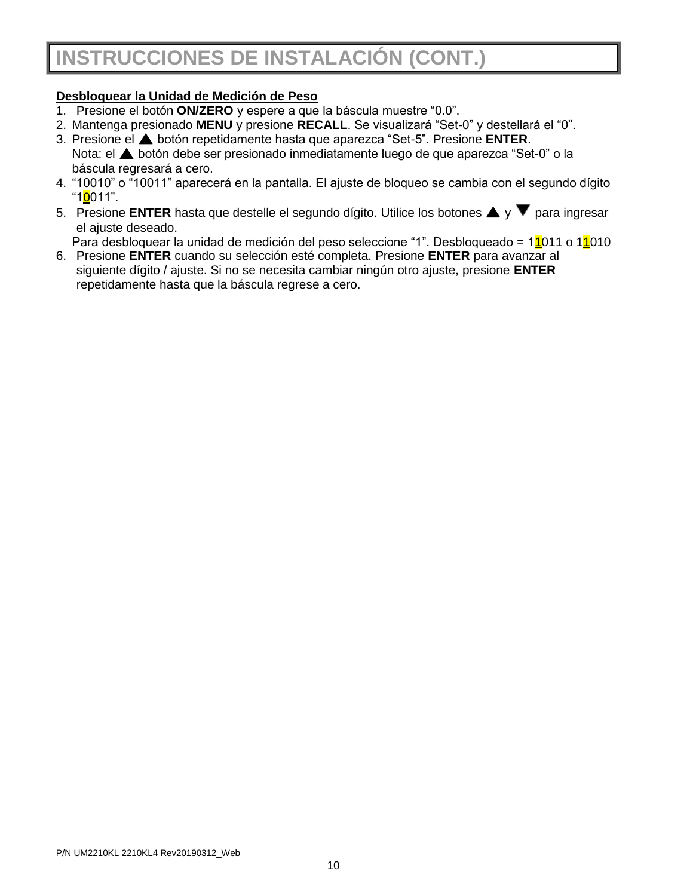### **Desbloquear la Unidad de Medición de Peso**

- 1. Presione el botón **ON/ZERO** y espere a que la báscula muestre "0.0".
- 2. Mantenga presionado **MENU** y presione **RECALL**. Se visualizará "Set-0" y destellará el "0".
- 3. Presione el botón repetidamente hasta que aparezca "Set-5". Presione **ENTER**. Nota: el  $\triangle$  botón debe ser presionado inmediatamente luego de que aparezca "Set-0" o la báscula regresará a cero.
- 4. "10010" o "10011" aparecerá en la pantalla. El ajuste de bloqueo se cambia con el segundo dígito "1<mark>0</mark>011".
- 5. Presione **ENTER** hasta que destelle el segundo dígito. Utilice los botones  $\triangle$  y  $\triangledown$  para ingresar el ajuste deseado.

Para desbloquear la unidad de medición del peso seleccione "1". Desbloqueado = 11011 o 11010

6. Presione **ENTER** cuando su selección esté completa. Presione **ENTER** para avanzar al siguiente dígito / ajuste. Si no se necesita cambiar ningún otro ajuste, presione **ENTER**  repetidamente hasta que la báscula regrese a cero.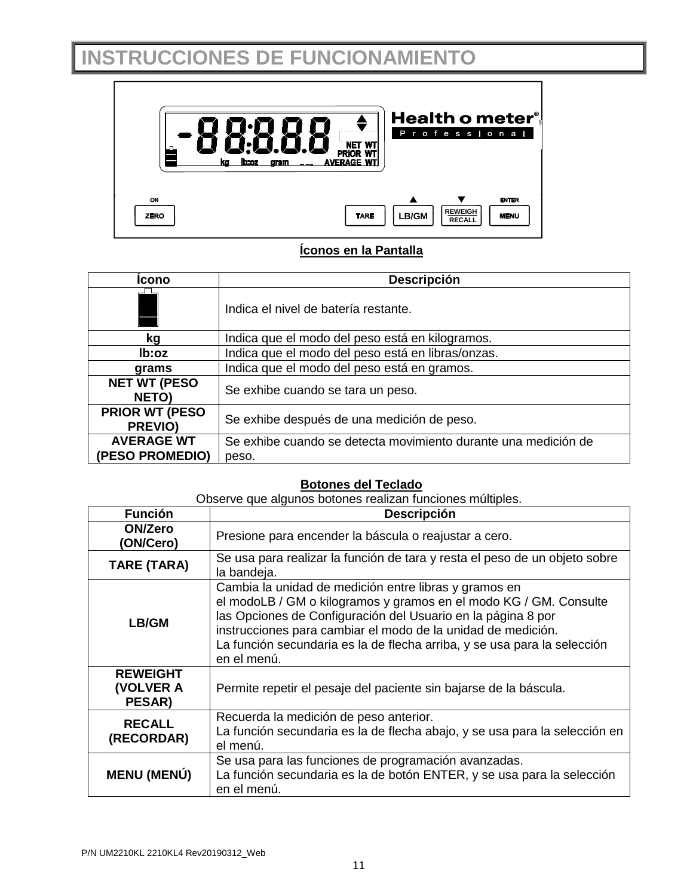## **INSTRUCCIONES DE FUNCIONAMIENTO**

![](_page_28_Figure_1.jpeg)

### **Íconos en la Pantalla**

| Icono                                    | <b>Descripción</b>                                             |
|------------------------------------------|----------------------------------------------------------------|
|                                          | Indica el nivel de batería restante.                           |
| kg                                       | Indica que el modo del peso está en kilogramos.                |
| lb:oz                                    | Indica que el modo del peso está en libras/onzas.              |
| grams                                    | Indica que el modo del peso está en gramos.                    |
| <b>NET WT (PESO)</b><br>NETO)            | Se exhibe cuando se tara un peso.                              |
| <b>PRIOR WT (PESO)</b><br><b>PREVIO)</b> | Se exhibe después de una medición de peso.                     |
| <b>AVERAGE WT</b>                        | Se exhibe cuando se detecta movimiento durante una medición de |
| (PESO PROMEDIO)                          | peso.                                                          |

### **Botones del Teclado**

Observe que algunos botones realizan funciones múltiples.

| <b>Función</b>                         | Descripción                                                                                                                                                                                                                                                                                                                                           |  |  |
|----------------------------------------|-------------------------------------------------------------------------------------------------------------------------------------------------------------------------------------------------------------------------------------------------------------------------------------------------------------------------------------------------------|--|--|
| <b>ON/Zero</b><br>(ON/Cero)            | Presione para encender la báscula o reajustar a cero.                                                                                                                                                                                                                                                                                                 |  |  |
| TARE (TARA)                            | Se usa para realizar la función de tara y resta el peso de un objeto sobre<br>la bandeja.                                                                                                                                                                                                                                                             |  |  |
| LB/GM                                  | Cambia la unidad de medición entre libras y gramos en<br>el modoLB / GM o kilogramos y gramos en el modo KG / GM. Consulte<br>las Opciones de Configuración del Usuario en la página 8 por<br>instrucciones para cambiar el modo de la unidad de medición.<br>La función secundaria es la de flecha arriba, y se usa para la selección<br>en el menú. |  |  |
| <b>REWEIGHT</b><br>(VOLVER A<br>PESAR) | Permite repetir el pesaje del paciente sin bajarse de la báscula.                                                                                                                                                                                                                                                                                     |  |  |
| <b>RECALL</b><br>(RECORDAR)            | Recuerda la medición de peso anterior.<br>La función secundaria es la de flecha abajo, y se usa para la selección en<br>el menú.                                                                                                                                                                                                                      |  |  |
| <b>MENU (MENÚ)</b>                     | Se usa para las funciones de programación avanzadas.<br>La función secundaria es la de botón ENTER, y se usa para la selección<br>en el menú.                                                                                                                                                                                                         |  |  |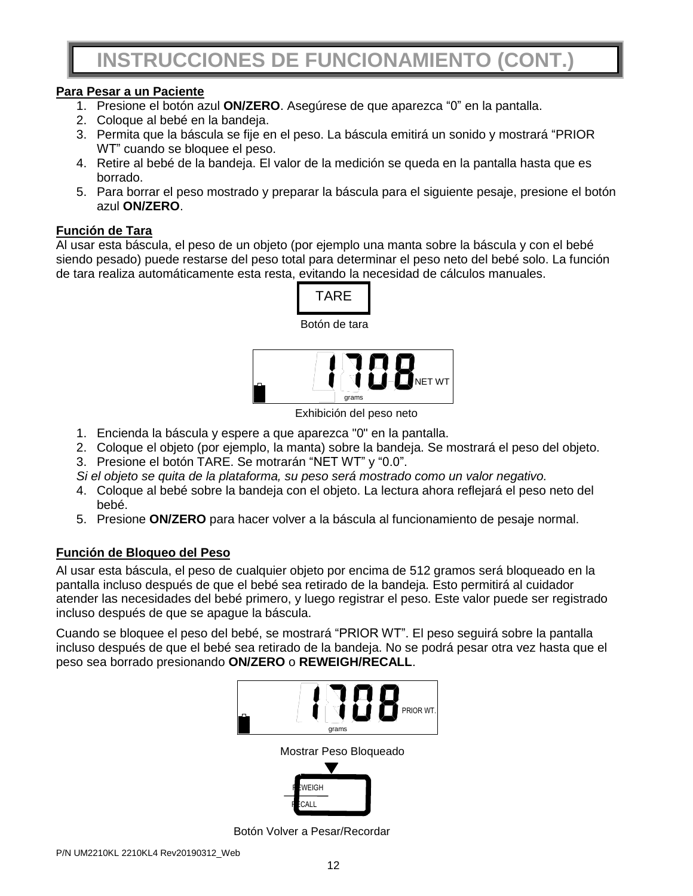### **Para Pesar a un Paciente**

- 1. Presione el botón azul **ON/ZERO**. Asegúrese de que aparezca "0" en la pantalla.
- 2. Coloque al bebé en la bandeja.
- 3. Permita que la báscula se fije en el peso. La báscula emitirá un sonido y mostrará "PRIOR WT" cuando se bloquee el peso.
- 4. Retire al bebé de la bandeja. El valor de la medición se queda en la pantalla hasta que es borrado.
- 5. Para borrar el peso mostrado y preparar la báscula para el siguiente pesaje, presione el botón azul **ON/ZERO**.

### **Función de Tara**

Al usar esta báscula, el peso de un objeto (por ejemplo una manta sobre la báscula y con el bebé siendo pesado) puede restarse del peso total para determinar el peso neto del bebé solo. La función de tara realiza automáticamente esta resta, evitando la necesidad de cálculos manuales.

![](_page_29_Figure_9.jpeg)

Exhibición del peso neto

- 1. Encienda la báscula y espere a que aparezca "0" en la pantalla.
- 2. Coloque el objeto (por ejemplo, la manta) sobre la bandeja. Se mostrará el peso del objeto.
- 3. Presione el botón TARE. Se motrarán "NET WT" y "0.0".
- *Si el objeto se quita de la plataforma, su peso será mostrado como un valor negativo.*
- 4. Coloque al bebé sobre la bandeja con el objeto. La lectura ahora reflejará el peso neto del bebé.
- 5. Presione **ON/ZERO** para hacer volver a la báscula al funcionamiento de pesaje normal.

### **Función de Bloqueo del Peso**

Al usar esta báscula, el peso de cualquier objeto por encima de 512 gramos será bloqueado en la pantalla incluso después de que el bebé sea retirado de la bandeja. Esto permitirá al cuidador atender las necesidades del bebé primero, y luego registrar el peso. Este valor puede ser registrado incluso después de que se apague la báscula.

Cuando se bloquee el peso del bebé, se mostrará "PRIOR WT". El peso seguirá sobre la pantalla incluso después de que el bebé sea retirado de la bandeja. No se podrá pesar otra vez hasta que el peso sea borrado presionando **ON/ZERO** o **REWEIGH/RECALL**.

![](_page_29_Picture_20.jpeg)

Mostrar Peso Bloqueado **NEIGH** 

Botón Volver a Pesar/Recordar

**ALL**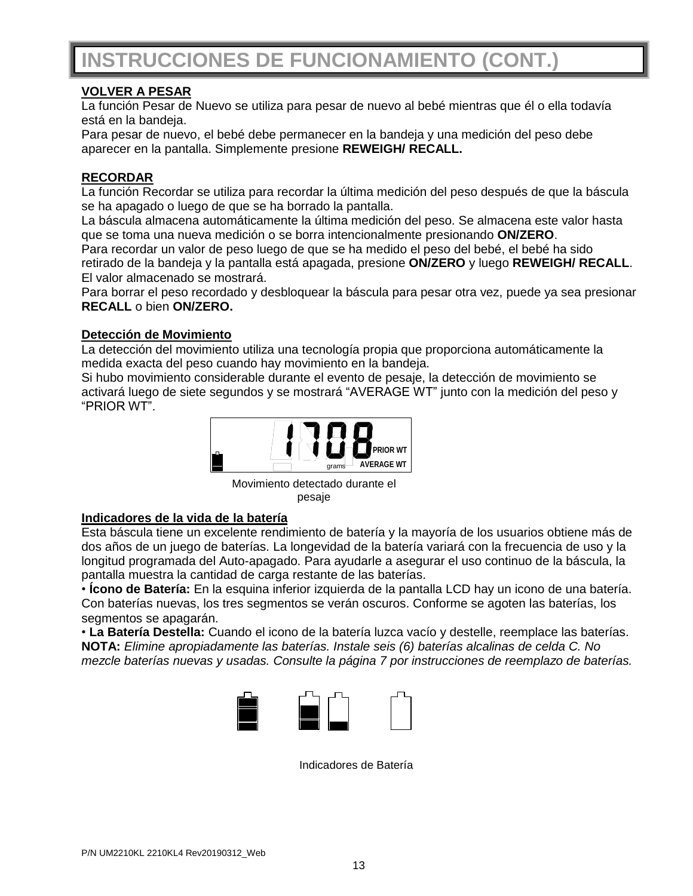### **VOLVER A PESAR**

La función Pesar de Nuevo se utiliza para pesar de nuevo al bebé mientras que él o ella todavía está en la bandeja.

Para pesar de nuevo, el bebé debe permanecer en la bandeja y una medición del peso debe aparecer en la pantalla. Simplemente presione **REWEIGH/ RECALL.**

### **RECORDAR**

La función Recordar se utiliza para recordar la última medición del peso después de que la báscula se ha apagado o luego de que se ha borrado la pantalla.

La báscula almacena automáticamente la última medición del peso. Se almacena este valor hasta que se toma una nueva medición o se borra intencionalmente presionando **ON/ZERO**.

Para recordar un valor de peso luego de que se ha medido el peso del bebé, el bebé ha sido retirado de la bandeja y la pantalla está apagada, presione **ON/ZERO** y luego **REWEIGH/ RECALL**. El valor almacenado se mostrará.

Para borrar el peso recordado y desbloquear la báscula para pesar otra vez, puede ya sea presionar **RECALL** o bien **ON/ZERO.**

### **Detección de Movimiento**

La detección del movimiento utiliza una tecnología propia que proporciona automáticamente la medida exacta del peso cuando hay movimiento en la bandeja.

Si hubo movimiento considerable durante el evento de pesaje, la detección de movimiento se activará luego de siete segundos y se mostrará "AVERAGE WT" junto con la medición del peso y "PRIOR WT".

![](_page_30_Picture_12.jpeg)

Movimiento detectado durante el pesaje

### **Indicadores de la vida de la batería**

Esta báscula tiene un excelente rendimiento de batería y la mayoría de los usuarios obtiene más de dos años de un juego de baterías. La longevidad de la batería variará con la frecuencia de uso y la longitud programada del Auto-apagado. Para ayudarle a asegurar el uso continuo de la báscula, la pantalla muestra la cantidad de carga restante de las baterías.

• **Ícono de Batería:** En la esquina inferior izquierda de la pantalla LCD hay un icono de una batería. Con baterías nuevas, los tres segmentos se verán oscuros. Conforme se agoten las baterías, los segmentos se apagarán.

• **La Batería Destella:** Cuando el icono de la batería luzca vacío y destelle, reemplace las baterías. **NOTA:** *Elimine apropiadamente las baterías. Instale seis (6) baterías alcalinas de celda C. No mezcle baterías nuevas y usadas. Consulte la página 7 por instrucciones de reemplazo de baterías.*

![](_page_30_Picture_18.jpeg)

Indicadores de Batería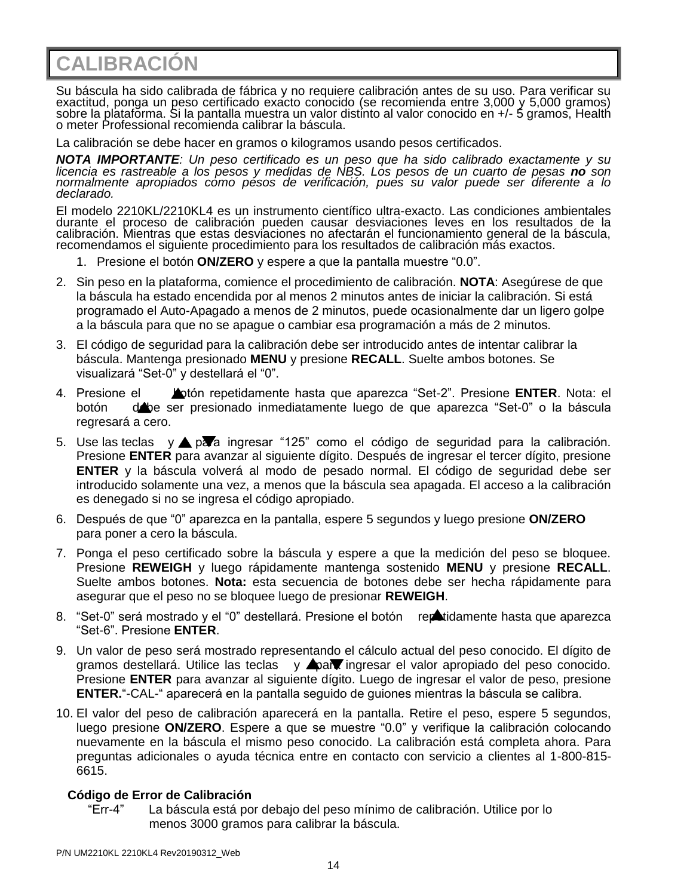**CALIBRACIÓN**

Su báscula ha sido calibrada de fábrica y no requiere calibración antes de su uso. Para verificar su exactitud, ponga un peso certificado exacto conocido (se recomienda entre 3,000 y 5,000 gramos) sobre la plataforma. Si la pantalla muestra un valor distinto al valor conocido en +/- 5 gramos, Health o meter Professional recomienda calibrar la báscula.

La calibración se debe hacer en gramos o kilogramos usando pesos certificados.

*NOTA IMPORTANTE: Un peso certificado es un peso que ha sido calibrado exactamente y su*  licencia es rastreable a los pesos y medidas de NBS. Los pesos de un cuarto de pesas **no** son *normalmente apropiados como pesos de verificación, pues su valor puede ser diferente a lo declarado.*

El modelo 2210KL/2210KL4 es un instrumento científico ultra-exacto. Las condiciones ambientales durante el proceso de calibración pueden causar desviaciones leves en los resultados de la calibración. Mientras que estas desviaciones no afectarán el funcionamiento general de la báscula, recomendamos el siguiente procedimiento para los resultados de calibración más exactos.

- 1. Presione el botón **ON/ZERO** y espere a que la pantalla muestre "0.0".
- 2. Sin peso en la plataforma, comience el procedimiento de calibración. **NOTA**: Asegúrese de que la báscula ha estado encendida por al menos 2 minutos antes de iniciar la calibración. Si está programado el Auto-Apagado a menos de 2 minutos, puede ocasionalmente dar un ligero golpe a la báscula para que no se apague o cambiar esa programación a más de 2 minutos.
- 3. El código de seguridad para la calibración debe ser introducido antes de intentar calibrar la báscula. Mantenga presionado **MENU** y presione **RECALL**. Suelte ambos botones. Se visualizará "Set-0" y destellará el "0".
- 4. Presione el botón repetidamente hasta que aparezca "Set-2". Presione **ENTER**. Nota: el botón debe ser presionado inmediatamente luego de que aparezca "Set-0" o la báscula regresará a cero.
- 5. Use las teclas y ▲ para ingresar "125" como el código de seguridad para la calibración. Presione **ENTER** para avanzar al siguiente dígito. Después de ingresar el tercer dígito, presione **ENTER** y la báscula volverá al modo de pesado normal. El código de seguridad debe ser introducido solamente una vez, a menos que la báscula sea apagada. El acceso a la calibración es denegado si no se ingresa el código apropiado.
- 6. Después de que "0" aparezca en la pantalla, espere 5 segundos y luego presione **ON/ZERO** para poner a cero la báscula.
- 7. Ponga el peso certificado sobre la báscula y espere a que la medición del peso se bloquee. Presione **REWEIGH** y luego rápidamente mantenga sostenido **MENU** y presione **RECALL**. Suelte ambos botones. **Nota:** esta secuencia de botones debe ser hecha rápidamente para asegurar que el peso no se bloquee luego de presionar **REWEIGH**.
- 8. "Set-0" será mostrado y el "0" destellará. Presione el botón reportidamente hasta que aparezca "Set-6". Presione **ENTER**.
- 9. Un valor de peso será mostrado representando el cálculo actual del peso conocido. El dígito de gramos destellará. Utilice las teclas y **Apara ingresar el valor apropiado del peso conocido**. Presione **ENTER** para avanzar al siguiente dígito. Luego de ingresar el valor de peso, presione **ENTER.**"-CAL-" aparecerá en la pantalla seguido de guiones mientras la báscula se calibra.
- 10. El valor del peso de calibración aparecerá en la pantalla. Retire el peso, espere 5 segundos, luego presione **ON/ZERO**. Espere a que se muestre "0.0" y verifique la calibración colocando nuevamente en la báscula el mismo peso conocido. La calibración está completa ahora. Para preguntas adicionales o ayuda técnica entre en contacto con servicio a clientes al 1-800-815- 6615.

### **Código de Error de Calibración**

"Err-4" La báscula está por debajo del peso mínimo de calibración. Utilice por lo menos 3000 gramos para calibrar la báscula.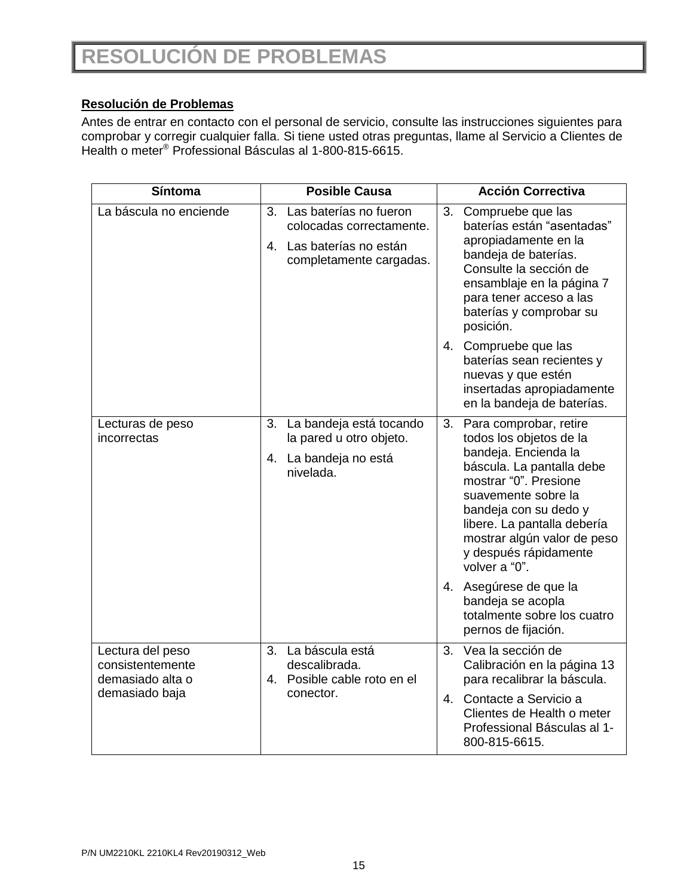### **Resolución de Problemas**

Antes de entrar en contacto con el personal de servicio, consulte las instrucciones siguientes para comprobar y corregir cualquier falla. Si tiene usted otras preguntas, llame al Servicio a Clientes de Health o meter® Professional Básculas al 1-800-815-6615.

| Síntoma                                                                    | <b>Posible Causa</b>                                                                                            | <b>Acción Correctiva</b>                                                                                                                                                                                                                                                                                                                                                                           |
|----------------------------------------------------------------------------|-----------------------------------------------------------------------------------------------------------------|----------------------------------------------------------------------------------------------------------------------------------------------------------------------------------------------------------------------------------------------------------------------------------------------------------------------------------------------------------------------------------------------------|
| La báscula no enciende                                                     | Las baterías no fueron<br>3.<br>colocadas correctamente.<br>4. Las baterías no están<br>completamente cargadas. | Compruebe que las<br>3.<br>baterías están "asentadas"<br>apropiadamente en la<br>bandeja de baterías.<br>Consulte la sección de<br>ensamblaje en la página 7<br>para tener acceso a las<br>baterías y comprobar su<br>posición.                                                                                                                                                                    |
|                                                                            |                                                                                                                 | 4. Compruebe que las<br>baterías sean recientes y<br>nuevas y que estén<br>insertadas apropiadamente<br>en la bandeja de baterías.                                                                                                                                                                                                                                                                 |
| Lecturas de peso<br>incorrectas                                            | 3. La bandeja está tocando<br>la pared u otro objeto.<br>4. La bandeja no está<br>nivelada.                     | 3.<br>Para comprobar, retire<br>todos los objetos de la<br>bandeja. Encienda la<br>báscula. La pantalla debe<br>mostrar "0". Presione<br>suavemente sobre la<br>bandeja con su dedo y<br>libere. La pantalla debería<br>mostrar algún valor de peso<br>y después rápidamente<br>volver a "0".<br>4. Asegúrese de que la<br>bandeja se acopla<br>totalmente sobre los cuatro<br>pernos de fijación. |
| Lectura del peso<br>consistentemente<br>demasiado alta o<br>demasiado baja | 3. La báscula está<br>descalibrada.<br>4. Posible cable roto en el<br>conector.                                 | Vea la sección de<br>3.<br>Calibración en la página 13<br>para recalibrar la báscula.<br>Contacte a Servicio a<br>4.<br>Clientes de Health o meter<br>Professional Básculas al 1-<br>800-815-6615.                                                                                                                                                                                                 |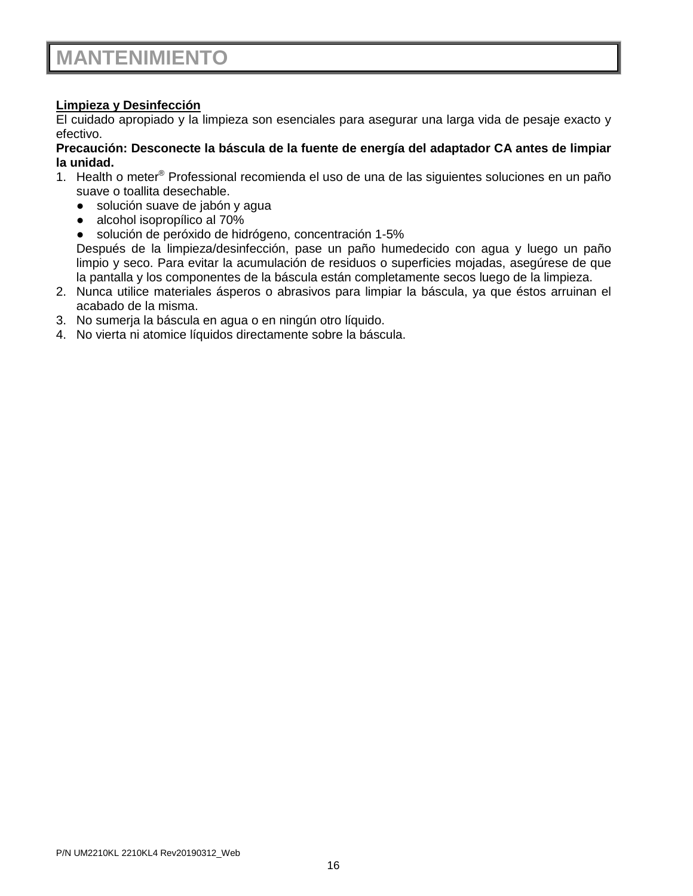## **MANTENIMIENTO**

### **Limpieza y Desinfección**

El cuidado apropiado y la limpieza son esenciales para asegurar una larga vida de pesaje exacto y efectivo.

### **Precaución: Desconecte la báscula de la fuente de energía del adaptador CA antes de limpiar la unidad.**

- 1. Health o meter® Professional recomienda el uso de una de las siguientes soluciones en un paño suave o toallita desechable.
	- solución suave de jabón y agua
	- alcohol isopropílico al 70%
	- solución de peróxido de hidrógeno, concentración 1-5%

Después de la limpieza/desinfección, pase un paño humedecido con agua y luego un paño limpio y seco. Para evitar la acumulación de residuos o superficies mojadas, asegúrese de que la pantalla y los componentes de la báscula están completamente secos luego de la limpieza.

- 2. Nunca utilice materiales ásperos o abrasivos para limpiar la báscula, ya que éstos arruinan el acabado de la misma.
- 3. No sumerja la báscula en agua o en ningún otro líquido.
- 4. No vierta ni atomice líquidos directamente sobre la báscula.